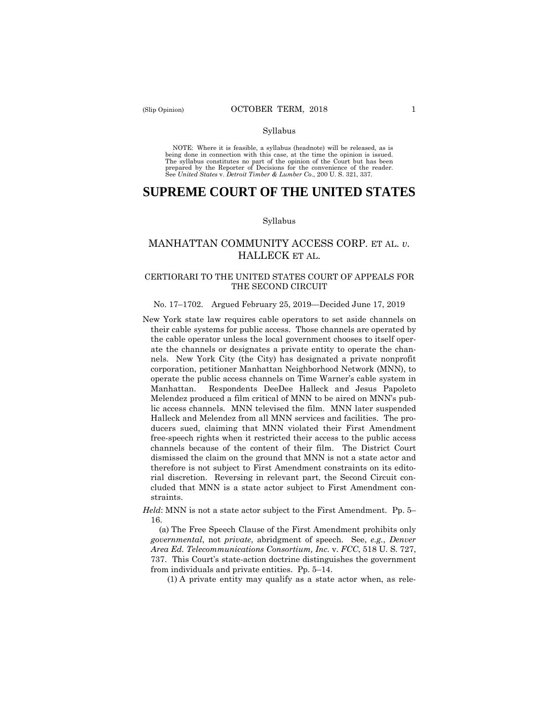#### Syllabus

NOTE: Where it is feasible, a syllabus (headnote) will be released, as is being done in connection with this case, at the time the opinion is issued. The syllabus constitutes no part of the opinion of the Court but has been<br>prepared by the Reporter of Decisions for the convenience of the reader.<br>See United States v. Detroit Timber & Lumber Co., 200 U. S. 321, 337.

# **SUPREME COURT OF THE UNITED STATES**

#### Syllabus

## MANHATTAN COMMUNITY ACCESS CORP. ET AL. *v.*  HALLECK ET AL.

## CERTIORARI TO THE UNITED STATES COURT OF APPEALS FOR THE SECOND CIRCUIT

#### No. 17–1702. Argued February 25, 2019—Decided June 17, 2019

New York state law requires cable operators to set aside channels on their cable systems for public access. Those channels are operated by the cable operator unless the local government chooses to itself operate the channels or designates a private entity to operate the channels. New York City (the City) has designated a private nonprofit corporation, petitioner Manhattan Neighborhood Network (MNN), to operate the public access channels on Time Warner's cable system in Manhattan. Respondents DeeDee Halleck and Jesus Papoleto Melendez produced a film critical of MNN to be aired on MNN's public access channels. MNN televised the film. MNN later suspended Halleck and Melendez from all MNN services and facilities. The producers sued, claiming that MNN violated their First Amendment free-speech rights when it restricted their access to the public access channels because of the content of their film. The District Court dismissed the claim on the ground that MNN is not a state actor and therefore is not subject to First Amendment constraints on its editorial discretion. Reversing in relevant part, the Second Circuit concluded that MNN is a state actor subject to First Amendment constraints.

*Held*: MNN is not a state actor subject to the First Amendment. Pp. 5– 16.

 (a) The Free Speech Clause of the First Amendment prohibits only *governmental*, not *private*, abridgment of speech. See, *e.g.*, *Denver Area Ed. Telecommunications Consortium, Inc.* v. *FCC*, 518 U. S. 727, 737. This Court's state-action doctrine distinguishes the government from individuals and private entities. Pp. 5–14.

(1) A private entity may qualify as a state actor when, as rele-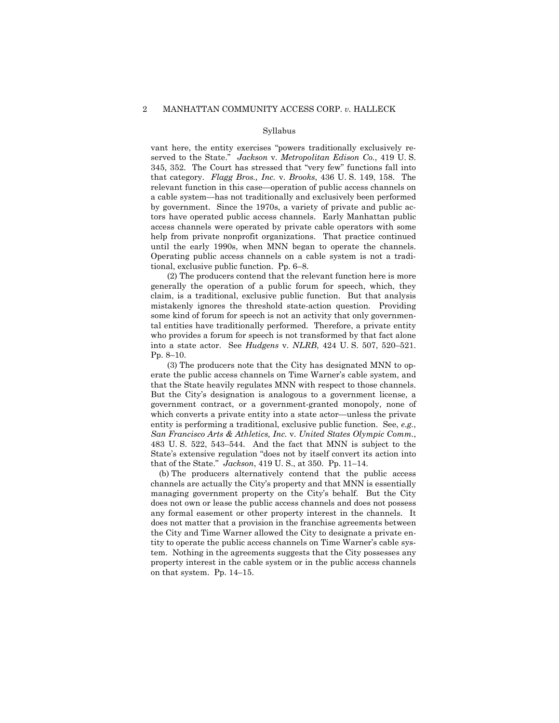#### Syllabus

vant here, the entity exercises "powers traditionally exclusively reserved to the State." *Jackson* v. *Metropolitan Edison Co.*, 419 U. S. 345, 352. The Court has stressed that "very few" functions fall into that category. *Flagg Bros., Inc.* v. *Brooks*, 436 U. S. 149, 158. The relevant function in this case—operation of public access channels on a cable system—has not traditionally and exclusively been performed by government. Since the 1970s, a variety of private and public actors have operated public access channels. Early Manhattan public access channels were operated by private cable operators with some help from private nonprofit organizations. That practice continued until the early 1990s, when MNN began to operate the channels. Operating public access channels on a cable system is not a traditional, exclusive public function. Pp. 6–8.

 (2) The producers contend that the relevant function here is more generally the operation of a public forum for speech, which, they claim, is a traditional, exclusive public function. But that analysis mistakenly ignores the threshold state-action question. Providing some kind of forum for speech is not an activity that only governmental entities have traditionally performed. Therefore, a private entity who provides a forum for speech is not transformed by that fact alone into a state actor. See *Hudgens* v. *NLRB*, 424 U. S. 507, 520–521. Pp. 8–10.

 (3) The producers note that the City has designated MNN to operate the public access channels on Time Warner's cable system, and that the State heavily regulates MNN with respect to those channels. But the City's designation is analogous to a government license, a government contract, or a government-granted monopoly, none of which converts a private entity into a state actor—unless the private entity is performing a traditional, exclusive public function. See, *e.g.*, *San Francisco Arts & Athletics, Inc.* v. *United States Olympic Comm.*, 483 U. S. 522, 543–544. And the fact that MNN is subject to the State's extensive regulation "does not by itself convert its action into that of the State." *Jackson*, 419 U. S., at 350. Pp. 11–14.

 (b) The producers alternatively contend that the public access channels are actually the City's property and that MNN is essentially managing government property on the City's behalf. But the City does not own or lease the public access channels and does not possess any formal easement or other property interest in the channels. It does not matter that a provision in the franchise agreements between the City and Time Warner allowed the City to designate a private entity to operate the public access channels on Time Warner's cable system. Nothing in the agreements suggests that the City possesses any property interest in the cable system or in the public access channels on that system. Pp. 14–15.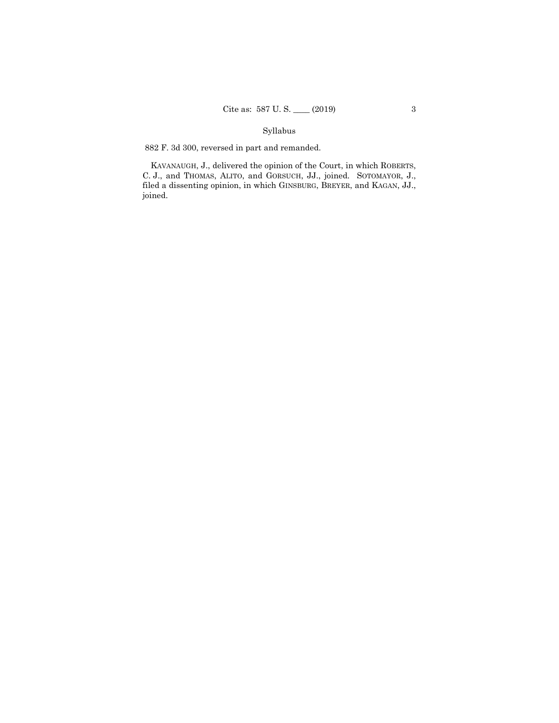## Syllabus

882 F. 3d 300, reversed in part and remanded.

 KAVANAUGH, J., delivered the opinion of the Court, in which ROBERTS, C. J., and THOMAS, ALITO, and GORSUCH, JJ., joined. SOTOMAYOR, J., filed a dissenting opinion, in which GINSBURG, BREYER, and KAGAN, JJ., joined.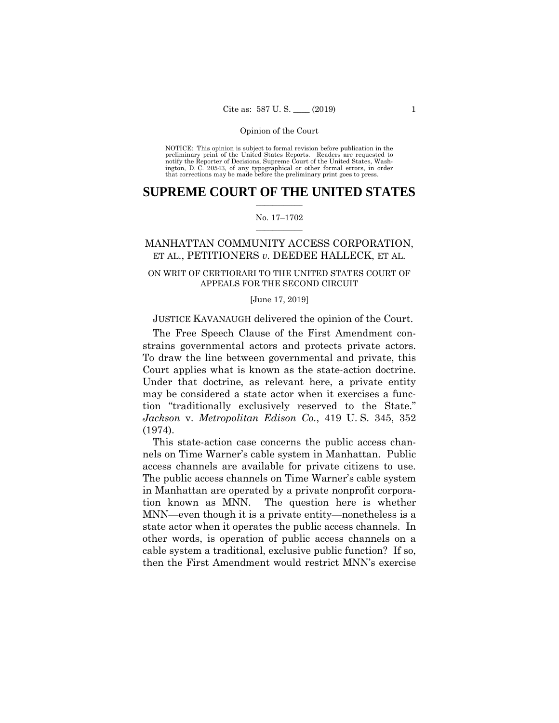NOTICE: This opinion is subject to formal revision before publication in the preliminary print of the United States Reports. Readers are requested to notify the Reporter of Decisions, Supreme Court of the United States, Wa ington, D. C. 20543, of any typographical or other formal errors, in order that corrections may be made before the preliminary print goes to press.

## **SUPREME COURT OF THE UNITED STATES**  $\overline{\phantom{a}}$  , where  $\overline{\phantom{a}}$

#### No. 17–1702  $\overline{\phantom{a}}$  , where  $\overline{\phantom{a}}$

## MANHATTAN COMMUNITY ACCESS CORPORATION, ET AL., PETITIONERS *v.* DEEDEE HALLECK, ET AL.

## ON WRIT OF CERTIORARI TO THE UNITED STATES COURT OF APPEALS FOR THE SECOND CIRCUIT

#### [June 17, 2019]

## JUSTICE KAVANAUGH delivered the opinion of the Court.

The Free Speech Clause of the First Amendment constrains governmental actors and protects private actors. To draw the line between governmental and private, this Court applies what is known as the state-action doctrine. Under that doctrine, as relevant here, a private entity may be considered a state actor when it exercises a function "traditionally exclusively reserved to the State." *Jackson* v. *Metropolitan Edison Co.*, 419 U. S. 345, 352 (1974).

This state-action case concerns the public access channels on Time Warner's cable system in Manhattan. Public access channels are available for private citizens to use. The public access channels on Time Warner's cable system in Manhattan are operated by a private nonprofit corporation known as MNN. The question here is whether MNN—even though it is a private entity—nonetheless is a state actor when it operates the public access channels. In other words, is operation of public access channels on a cable system a traditional, exclusive public function? If so, then the First Amendment would restrict MNN's exercise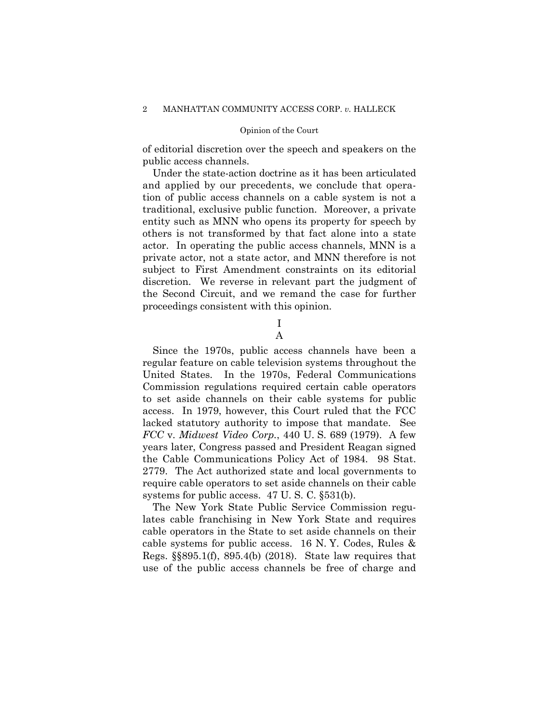of editorial discretion over the speech and speakers on the public access channels.

Under the state-action doctrine as it has been articulated and applied by our precedents, we conclude that operation of public access channels on a cable system is not a traditional, exclusive public function. Moreover, a private entity such as MNN who opens its property for speech by others is not transformed by that fact alone into a state actor. In operating the public access channels, MNN is a private actor, not a state actor, and MNN therefore is not subject to First Amendment constraints on its editorial discretion. We reverse in relevant part the judgment of the Second Circuit, and we remand the case for further proceedings consistent with this opinion.

## I A

Since the 1970s, public access channels have been a regular feature on cable television systems throughout the United States. In the 1970s, Federal Communications Commission regulations required certain cable operators to set aside channels on their cable systems for public access. In 1979, however, this Court ruled that the FCC lacked statutory authority to impose that mandate. See *FCC* v. *Midwest Video Corp.*, 440 U. S. 689 (1979). A few years later, Congress passed and President Reagan signed the Cable Communications Policy Act of 1984. 98 Stat. 2779. The Act authorized state and local governments to require cable operators to set aside channels on their cable systems for public access. 47 U. S. C. §531(b).

The New York State Public Service Commission regulates cable franchising in New York State and requires cable operators in the State to set aside channels on their cable systems for public access. 16 N. Y. Codes, Rules & Regs. §§895.1(f), 895.4(b) (2018). State law requires that use of the public access channels be free of charge and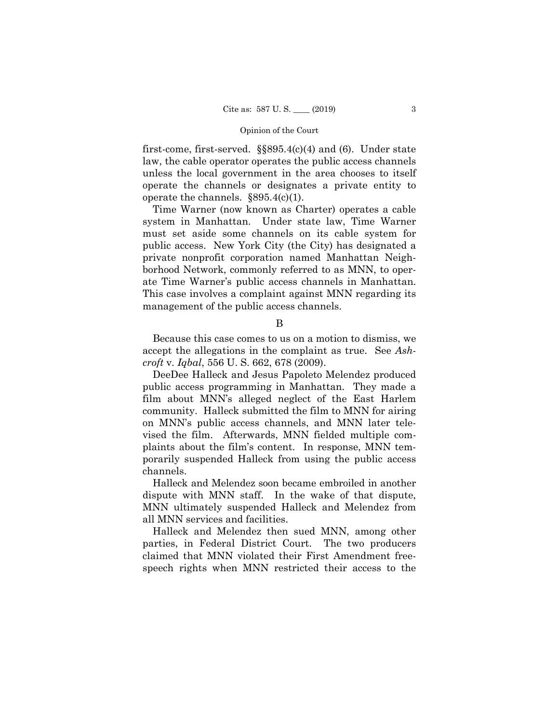first-come, first-served. §§895.4(c)(4) and (6). Under state law, the cable operator operates the public access channels unless the local government in the area chooses to itself operate the channels or designates a private entity to operate the channels. §895.4(c)(1).

Time Warner (now known as Charter) operates a cable system in Manhattan. Under state law, Time Warner must set aside some channels on its cable system for public access. New York City (the City) has designated a private nonprofit corporation named Manhattan Neighborhood Network, commonly referred to as MNN, to operate Time Warner's public access channels in Manhattan. This case involves a complaint against MNN regarding its management of the public access channels.

B

Because this case comes to us on a motion to dismiss, we accept the allegations in the complaint as true. See *Ashcroft* v. *Iqbal*, 556 U. S. 662, 678 (2009).

DeeDee Halleck and Jesus Papoleto Melendez produced public access programming in Manhattan. They made a film about MNN's alleged neglect of the East Harlem community. Halleck submitted the film to MNN for airing on MNN's public access channels, and MNN later televised the film. Afterwards, MNN fielded multiple complaints about the film's content. In response, MNN temporarily suspended Halleck from using the public access channels.

Halleck and Melendez soon became embroiled in another dispute with MNN staff. In the wake of that dispute, MNN ultimately suspended Halleck and Melendez from all MNN services and facilities.

Halleck and Melendez then sued MNN, among other parties, in Federal District Court. The two producers claimed that MNN violated their First Amendment freespeech rights when MNN restricted their access to the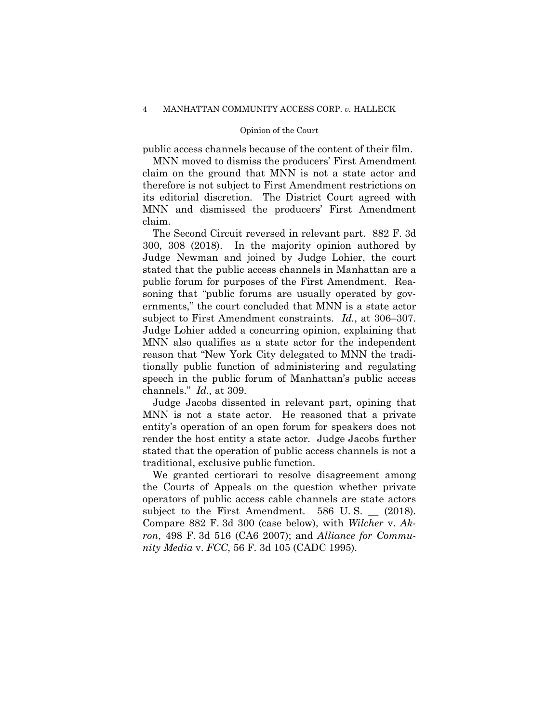public access channels because of the content of their film.

MNN moved to dismiss the producers' First Amendment claim on the ground that MNN is not a state actor and therefore is not subject to First Amendment restrictions on its editorial discretion. The District Court agreed with MNN and dismissed the producers' First Amendment claim.

The Second Circuit reversed in relevant part. 882 F. 3d 300, 308 (2018). In the majority opinion authored by Judge Newman and joined by Judge Lohier, the court stated that the public access channels in Manhattan are a public forum for purposes of the First Amendment. Reasoning that "public forums are usually operated by governments," the court concluded that MNN is a state actor subject to First Amendment constraints. *Id.*, at 306–307. Judge Lohier added a concurring opinion, explaining that MNN also qualifies as a state actor for the independent reason that "New York City delegated to MNN the traditionally public function of administering and regulating speech in the public forum of Manhattan's public access channels." *Id.,* at 309.

Judge Jacobs dissented in relevant part, opining that MNN is not a state actor. He reasoned that a private entity's operation of an open forum for speakers does not render the host entity a state actor. Judge Jacobs further stated that the operation of public access channels is not a traditional, exclusive public function.

We granted certiorari to resolve disagreement among the Courts of Appeals on the question whether private operators of public access cable channels are state actors subject to the First Amendment. 586 U.S.  $\_\_$  (2018). Compare 882 F. 3d 300 (case below), with *Wilcher* v. *Akron*, 498 F. 3d 516 (CA6 2007); and *Alliance for Community Media* v. *FCC*, 56 F. 3d 105 (CADC 1995).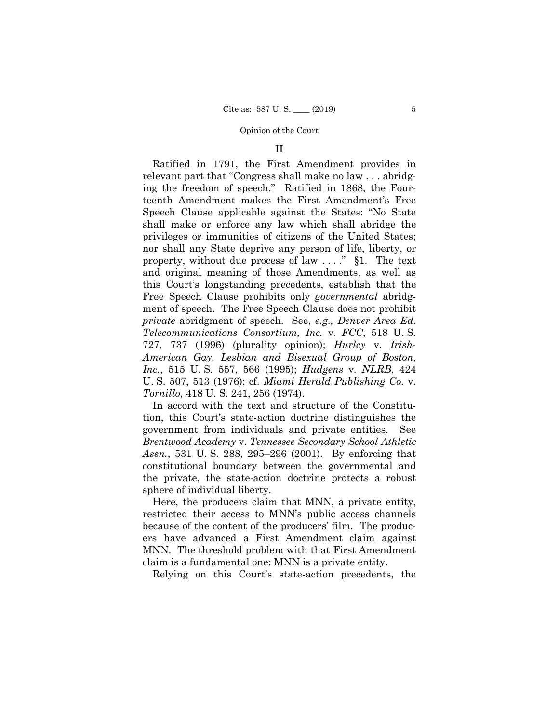#### II

Ratified in 1791, the First Amendment provides in relevant part that "Congress shall make no law . . . abridging the freedom of speech." Ratified in 1868, the Fourteenth Amendment makes the First Amendment's Free Speech Clause applicable against the States: "No State shall make or enforce any law which shall abridge the privileges or immunities of citizens of the United States; nor shall any State deprive any person of life, liberty, or property, without due process of law  $\dots$ ." §1. The text and original meaning of those Amendments, as well as this Court's longstanding precedents, establish that the Free Speech Clause prohibits only *governmental* abridgment of speech. The Free Speech Clause does not prohibit *private* abridgment of speech. See, *e.g., Denver Area Ed. Telecommunications Consortium, Inc.* v. *FCC*, 518 U. S. 727, 737 (1996) (plurality opinion); *Hurley* v. *Irish-American Gay, Lesbian and Bisexual Group of Boston, Inc.*, 515 U. S. 557, 566 (1995); *Hudgens* v. *NLRB*, 424 U. S. 507, 513 (1976); cf. *Miami Herald Publishing Co.* v. *Tornillo*, 418 U. S. 241, 256 (1974).

In accord with the text and structure of the Constitution, this Court's state-action doctrine distinguishes the government from individuals and private entities. See *Brentwood Academy* v. *Tennessee Secondary School Athletic Assn.*, 531 U. S. 288, 295–296 (2001). By enforcing that constitutional boundary between the governmental and the private, the state-action doctrine protects a robust sphere of individual liberty.

Here, the producers claim that MNN, a private entity, restricted their access to MNN's public access channels because of the content of the producers' film. The producers have advanced a First Amendment claim against MNN. The threshold problem with that First Amendment claim is a fundamental one: MNN is a private entity.

Relying on this Court's state-action precedents, the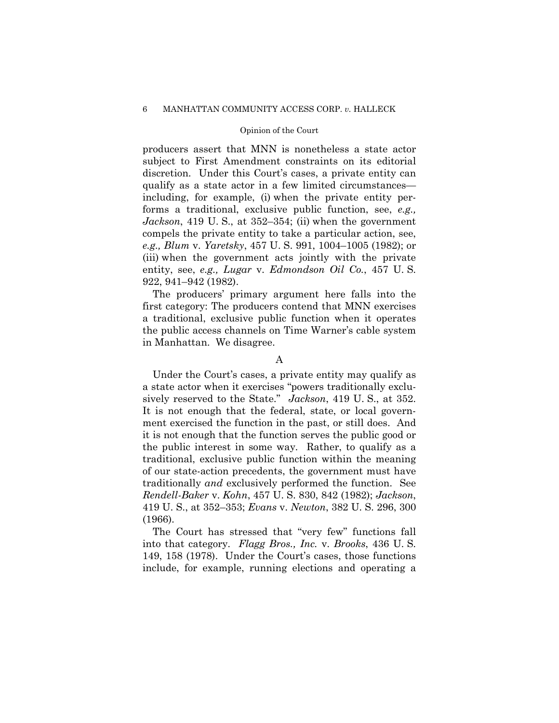producers assert that MNN is nonetheless a state actor subject to First Amendment constraints on its editorial discretion. Under this Court's cases, a private entity can qualify as a state actor in a few limited circumstances including, for example, (i) when the private entity performs a traditional, exclusive public function, see, *e.g., Jackson*, 419 U. S., at 352–354; (ii) when the government compels the private entity to take a particular action, see, *e.g., Blum* v. *Yaretsky*, 457 U. S. 991, 1004–1005 (1982); or (iii) when the government acts jointly with the private entity, see, *e.g., Lugar* v. *Edmondson Oil Co.*, 457 U. S. 922, 941–942 (1982).

The producers' primary argument here falls into the first category: The producers contend that MNN exercises a traditional, exclusive public function when it operates the public access channels on Time Warner's cable system in Manhattan. We disagree.

### A

Under the Court's cases, a private entity may qualify as a state actor when it exercises "powers traditionally exclusively reserved to the State." *Jackson*, 419 U. S., at 352. It is not enough that the federal, state, or local government exercised the function in the past, or still does. And it is not enough that the function serves the public good or the public interest in some way. Rather, to qualify as a traditional, exclusive public function within the meaning of our state-action precedents, the government must have traditionally *and* exclusively performed the function. See *Rendell-Baker* v. *Kohn*, 457 U. S. 830, 842 (1982); *Jackson*, 419 U. S., at 352–353; *Evans* v. *Newton*, 382 U. S. 296, 300 (1966).

The Court has stressed that "very few" functions fall into that category. *Flagg Bros., Inc.* v. *Brooks*, 436 U. S. 149, 158 (1978). Under the Court's cases, those functions include, for example, running elections and operating a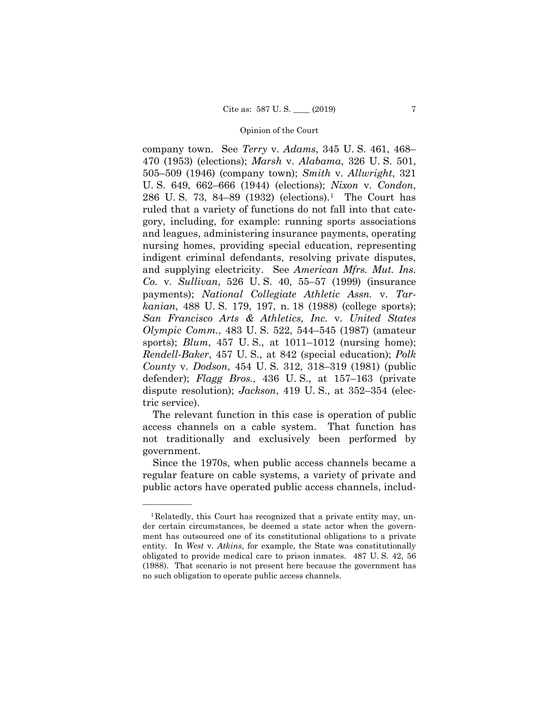company town. See *Terry* v. *Adams*, 345 U. S. 461, 468– 470 (1953) (elections); *Marsh* v. *Alabama*, 326 U. S. 501, 505–509 (1946) (company town); *Smith* v. *Allwright*, 321 U. S. 649, 662–666 (1944) (elections); *Nixon* v. *Condon*, 286 U. S. 73, 84–89 (1932) (elections).[1](#page-9-0) The Court has ruled that a variety of functions do not fall into that category, including, for example: running sports associations and leagues, administering insurance payments, operating nursing homes, providing special education, representing indigent criminal defendants, resolving private disputes, and supplying electricity. See *American Mfrs. Mut. Ins. Co.* v. *Sullivan*, 526 U. S. 40, 55–57 (1999) (insurance payments); *National Collegiate Athletic Assn.* v. *Tarkanian*, 488 U. S. 179, 197, n. 18 (1988) (college sports); *San Francisco Arts & Athletics, Inc.* v. *United States Olympic Comm.*, 483 U. S. 522, 544–545 (1987) (amateur sports); *Blum*, 457 U.S., at 1011–1012 (nursing home); *Rendell-Baker*, 457 U. S., at 842 (special education); *Polk County* v. *Dodson*, 454 U. S. 312, 318–319 (1981) (public defender); *Flagg Bros.*, 436 U. S., at 157–163 (private dispute resolution); *Jackson*, 419 U. S., at 352–354 (electric service).

The relevant function in this case is operation of public access channels on a cable system. That function has not traditionally and exclusively been performed by government.

Since the 1970s, when public access channels became a regular feature on cable systems, a variety of private and public actors have operated public access channels, includ-

<span id="page-9-0"></span><sup>1</sup>Relatedly, this Court has recognized that a private entity may, under certain circumstances, be deemed a state actor when the government has outsourced one of its constitutional obligations to a private entity. In *West* v. *Atkins*, for example, the State was constitutionally obligated to provide medical care to prison inmates. 487 U. S. 42, 56 (1988). That scenario is not present here because the government has no such obligation to operate public access channels.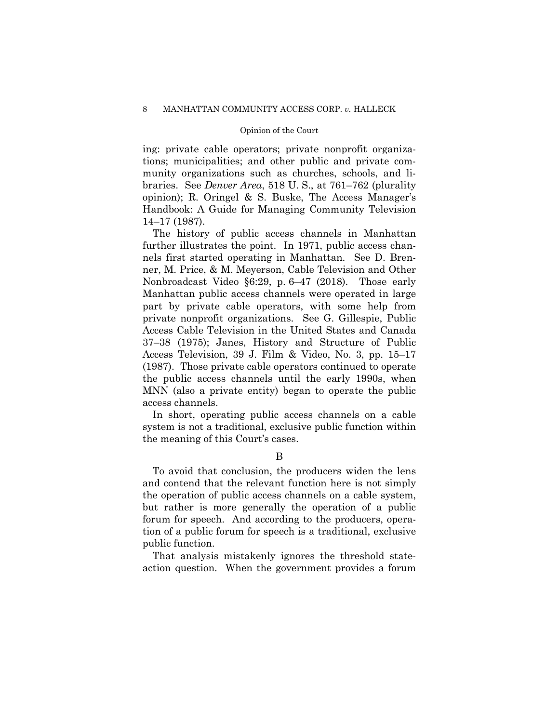ing: private cable operators; private nonprofit organizations; municipalities; and other public and private community organizations such as churches, schools, and libraries. See *Denver Area*, 518 U. S., at 761–762 (plurality opinion); R. Oringel & S. Buske, The Access Manager's Handbook: A Guide for Managing Community Television 14–17 (1987).

The history of public access channels in Manhattan further illustrates the point. In 1971, public access channels first started operating in Manhattan. See D. Brenner, M. Price, & M. Meyerson, Cable Television and Other Nonbroadcast Video §6:29, p. 6–47 (2018). Those early Manhattan public access channels were operated in large part by private cable operators, with some help from private nonprofit organizations. See G. Gillespie, Public Access Cable Television in the United States and Canada 37–38 (1975); Janes, History and Structure of Public Access Television, 39 J. Film & Video, No. 3, pp. 15–17 (1987). Those private cable operators continued to operate the public access channels until the early 1990s, when MNN (also a private entity) began to operate the public access channels.

In short, operating public access channels on a cable system is not a traditional, exclusive public function within the meaning of this Court's cases.

B

To avoid that conclusion, the producers widen the lens and contend that the relevant function here is not simply the operation of public access channels on a cable system, but rather is more generally the operation of a public forum for speech. And according to the producers, operation of a public forum for speech is a traditional, exclusive public function.

That analysis mistakenly ignores the threshold stateaction question. When the government provides a forum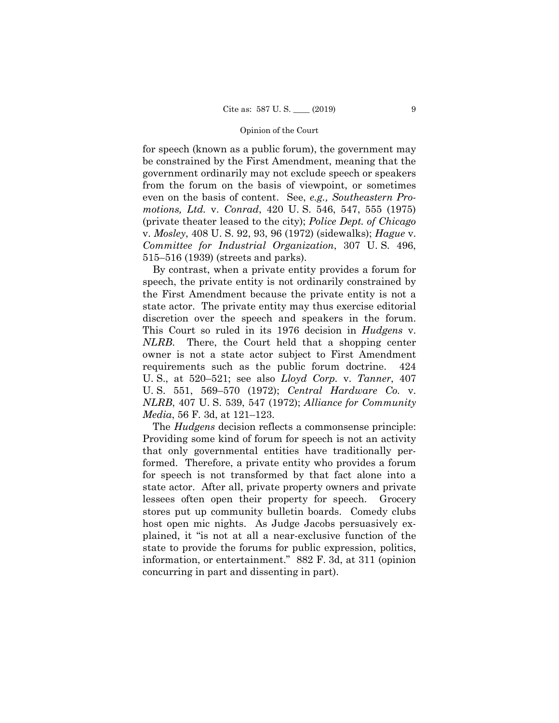for speech (known as a public forum), the government may be constrained by the First Amendment, meaning that the government ordinarily may not exclude speech or speakers from the forum on the basis of viewpoint, or sometimes even on the basis of content. See, *e.g., Southeastern Promotions, Ltd.* v. *Conrad*, 420 U. S. 546, 547, 555 (1975) (private theater leased to the city); *Police Dept. of Chicago* v. *Mosley*, 408 U. S. 92, 93, 96 (1972) (sidewalks); *Hague* v. *Committee for Industrial Organization*, 307 U. S. 496, 515–516 (1939) (streets and parks).

By contrast, when a private entity provides a forum for speech, the private entity is not ordinarily constrained by the First Amendment because the private entity is not a state actor. The private entity may thus exercise editorial discretion over the speech and speakers in the forum. This Court so ruled in its 1976 decision in *Hudgens* v. *NLRB*. There, the Court held that a shopping center owner is not a state actor subject to First Amendment requirements such as the public forum doctrine. 424 U. S., at 520–521; see also *Lloyd Corp.* v. *Tanner*, 407 U. S. 551, 569–570 (1972); *Central Hardware Co.* v. *NLRB*, 407 U. S. 539, 547 (1972); *Alliance for Community Media*, 56 F. 3d, at 121–123.

The *Hudgens* decision reflects a commonsense principle: Providing some kind of forum for speech is not an activity that only governmental entities have traditionally performed. Therefore, a private entity who provides a forum for speech is not transformed by that fact alone into a state actor. After all, private property owners and private lessees often open their property for speech. Grocery stores put up community bulletin boards. Comedy clubs host open mic nights. As Judge Jacobs persuasively explained, it "is not at all a near-exclusive function of the state to provide the forums for public expression, politics, information, or entertainment." 882 F. 3d, at 311 (opinion concurring in part and dissenting in part).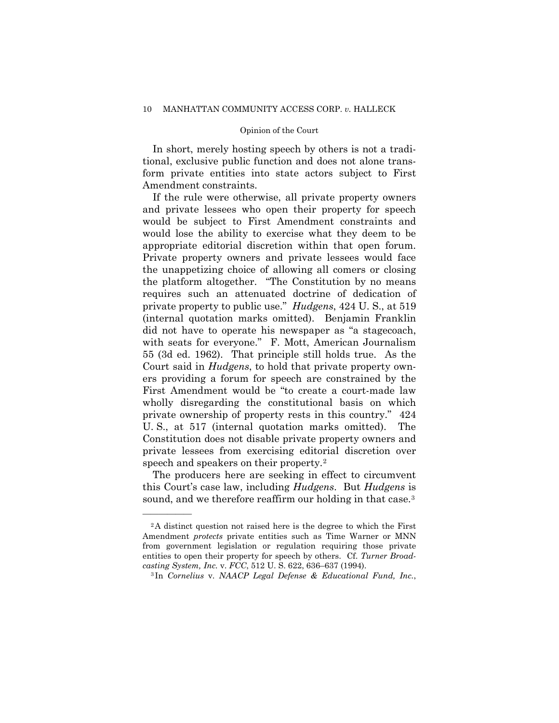In short, merely hosting speech by others is not a traditional, exclusive public function and does not alone transform private entities into state actors subject to First Amendment constraints.

If the rule were otherwise, all private property owners and private lessees who open their property for speech would be subject to First Amendment constraints and would lose the ability to exercise what they deem to be appropriate editorial discretion within that open forum. Private property owners and private lessees would face the unappetizing choice of allowing all comers or closing the platform altogether. "The Constitution by no means requires such an attenuated doctrine of dedication of private property to public use." *Hudgens*, 424 U. S., at 519 (internal quotation marks omitted). Benjamin Franklin did not have to operate his newspaper as "a stagecoach, with seats for everyone." F. Mott, American Journalism 55 (3d ed. 1962). That principle still holds true. As the Court said in *Hudgens*, to hold that private property owners providing a forum for speech are constrained by the First Amendment would be "to create a court-made law wholly disregarding the constitutional basis on which private ownership of property rests in this country." 424 U. S., at 517 (internal quotation marks omitted). The Constitution does not disable private property owners and private lessees from exercising editorial discretion over speech and speakers on their property.[2](#page-12-0)

The producers here are seeking in effect to circumvent this Court's case law, including *Hudgens*. But *Hudgens* is sound, and we therefore reaffirm our holding in that case.<sup>[3](#page-12-1)</sup>

<span id="page-12-1"></span><span id="page-12-0"></span><sup>2</sup>A distinct question not raised here is the degree to which the First Amendment *protects* private entities such as Time Warner or MNN from government legislation or regulation requiring those private entities to open their property for speech by others. Cf. *Turner Broadcasting System, Inc.* v. *FCC*, 512 U. S. 622, 636–637 (1994).

<sup>3</sup> In *Cornelius* v. *NAACP Legal Defense & Educational Fund, Inc.*,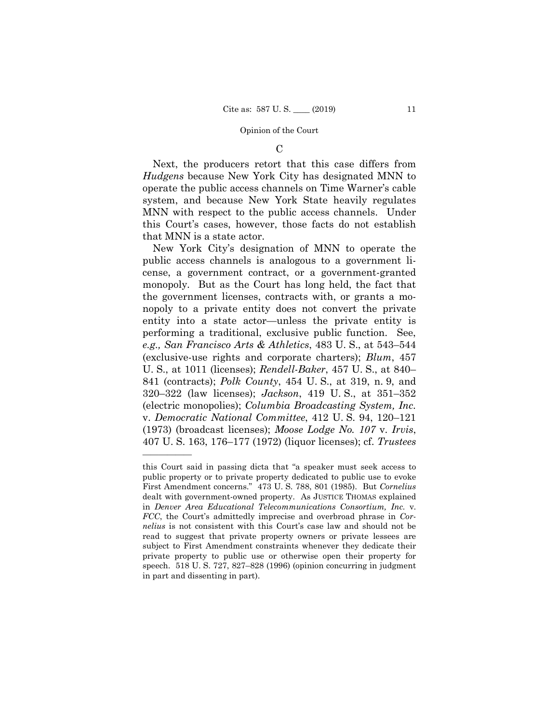#### $\mathcal{C}$

Next, the producers retort that this case differs from *Hudgens* because New York City has designated MNN to operate the public access channels on Time Warner's cable system, and because New York State heavily regulates MNN with respect to the public access channels. Under this Court's cases, however, those facts do not establish that MNN is a state actor.

New York City's designation of MNN to operate the public access channels is analogous to a government license, a government contract, or a government-granted monopoly. But as the Court has long held, the fact that the government licenses, contracts with, or grants a monopoly to a private entity does not convert the private entity into a state actor—unless the private entity is performing a traditional, exclusive public function. See, *e.g., San Francisco Arts & Athletics*, 483 U. S., at 543–544 (exclusive-use rights and corporate charters); *Blum*, 457 U. S., at 1011 (licenses); *Rendell-Baker*, 457 U. S., at 840– 841 (contracts); *Polk County*, 454 U. S., at 319, n. 9, and 320–322 (law licenses); *Jackson*, 419 U. S., at 351–352 (electric monopolies); *Columbia Broadcasting System, Inc.* v. *Democratic National Committee*, 412 U. S. 94, 120–121 (1973) (broadcast licenses); *Moose Lodge No. 107* v. *Irvis*, 407 U. S. 163, 176–177 (1972) (liquor licenses); cf. *Trustees* 

this Court said in passing dicta that "a speaker must seek access to public property or to private property dedicated to public use to evoke First Amendment concerns." 473 U. S. 788, 801 (1985). But *Cornelius* dealt with government-owned property. As JUSTICE THOMAS explained in *Denver Area Educational Telecommunications Consortium, Inc.* v. *FCC*, the Court's admittedly imprecise and overbroad phrase in *Cornelius* is not consistent with this Court's case law and should not be read to suggest that private property owners or private lessees are subject to First Amendment constraints whenever they dedicate their private property to public use or otherwise open their property for speech. 518 U. S. 727, 827–828 (1996) (opinion concurring in judgment in part and dissenting in part).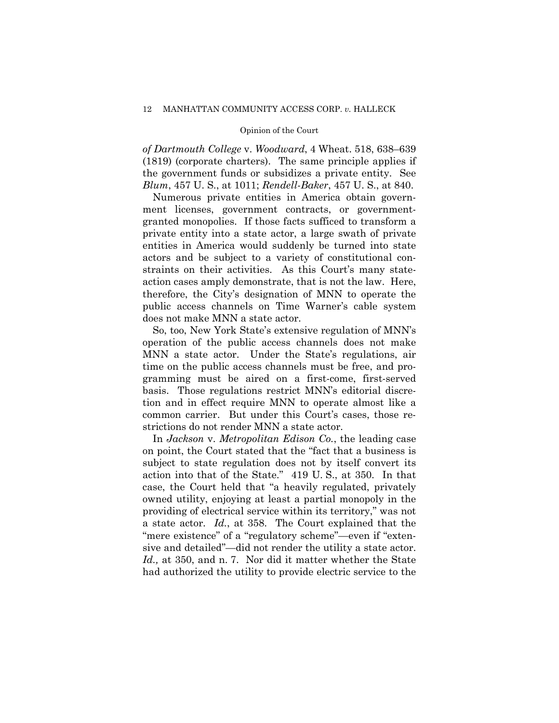*of Dartmouth College* v. *Woodward*, 4 Wheat. 518, 638–639 (1819) (corporate charters). The same principle applies if the government funds or subsidizes a private entity. See *Blum*, 457 U. S., at 1011; *Rendell*-*Baker*, 457 U. S., at 840.

Numerous private entities in America obtain government licenses, government contracts, or governmentgranted monopolies. If those facts sufficed to transform a private entity into a state actor, a large swath of private entities in America would suddenly be turned into state actors and be subject to a variety of constitutional constraints on their activities. As this Court's many stateaction cases amply demonstrate, that is not the law. Here, therefore, the City's designation of MNN to operate the public access channels on Time Warner's cable system does not make MNN a state actor.

So, too, New York State's extensive regulation of MNN's operation of the public access channels does not make MNN a state actor. Under the State's regulations, air time on the public access channels must be free, and programming must be aired on a first-come, first-served basis. Those regulations restrict MNN's editorial discretion and in effect require MNN to operate almost like a common carrier. But under this Court's cases, those restrictions do not render MNN a state actor.

In *Jackson* v. *Metropolitan Edison Co.*, the leading case on point, the Court stated that the "fact that a business is subject to state regulation does not by itself convert its action into that of the State." 419 U. S., at 350. In that case, the Court held that "a heavily regulated, privately owned utility, enjoying at least a partial monopoly in the providing of electrical service within its territory," was not a state actor. *Id.*, at 358. The Court explained that the "mere existence" of a "regulatory scheme"—even if "extensive and detailed"—did not render the utility a state actor. *Id.,* at 350, and n. 7. Nor did it matter whether the State had authorized the utility to provide electric service to the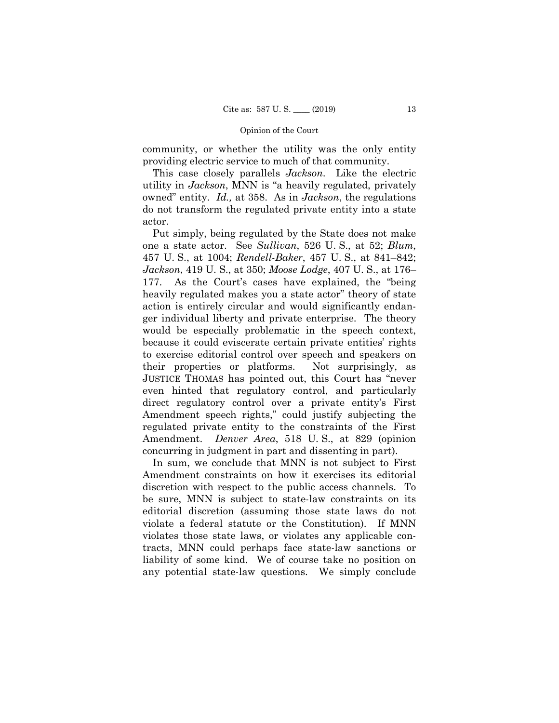community, or whether the utility was the only entity providing electric service to much of that community.

This case closely parallels *Jackson*. Like the electric utility in *Jackson*, MNN is "a heavily regulated, privately owned" entity. *Id.,* at 358. As in *Jackson*, the regulations do not transform the regulated private entity into a state actor.

Put simply, being regulated by the State does not make one a state actor. See *Sullivan*, 526 U. S., at 52; *Blum*, 457 U. S., at 1004; *Rendell-Baker*, 457 U. S., at 841–842; *Jackson*, 419 U. S., at 350; *Moose Lodge*, 407 U. S., at 176– 177. As the Court's cases have explained, the "being heavily regulated makes you a state actor" theory of state action is entirely circular and would significantly endanger individual liberty and private enterprise. The theory would be especially problematic in the speech context, because it could eviscerate certain private entities' rights to exercise editorial control over speech and speakers on their properties or platforms. Not surprisingly, as JUSTICE THOMAS has pointed out, this Court has "never even hinted that regulatory control, and particularly direct regulatory control over a private entity's First Amendment speech rights," could justify subjecting the regulated private entity to the constraints of the First Amendment. *Denver Area*, 518 U. S., at 829 (opinion concurring in judgment in part and dissenting in part).

In sum, we conclude that MNN is not subject to First Amendment constraints on how it exercises its editorial discretion with respect to the public access channels. To be sure, MNN is subject to state-law constraints on its editorial discretion (assuming those state laws do not violate a federal statute or the Constitution). If MNN violates those state laws, or violates any applicable contracts, MNN could perhaps face state-law sanctions or liability of some kind. We of course take no position on any potential state-law questions. We simply conclude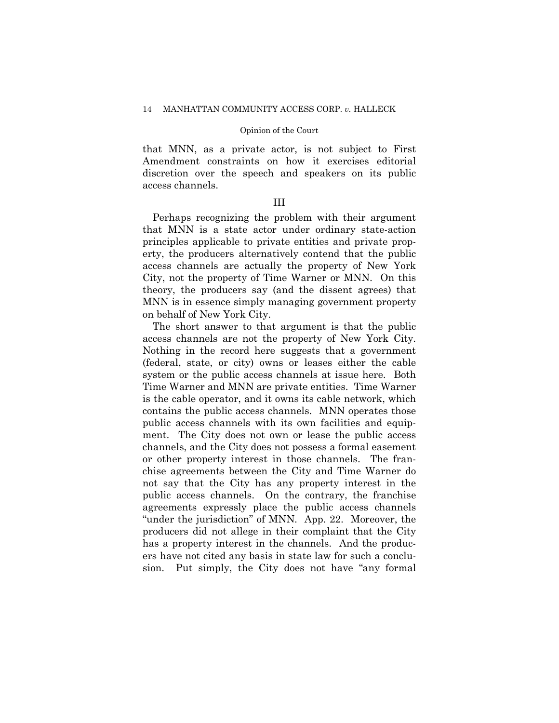that MNN, as a private actor, is not subject to First Amendment constraints on how it exercises editorial discretion over the speech and speakers on its public access channels.

## III

Perhaps recognizing the problem with their argument that MNN is a state actor under ordinary state-action principles applicable to private entities and private property, the producers alternatively contend that the public access channels are actually the property of New York City, not the property of Time Warner or MNN. On this theory, the producers say (and the dissent agrees) that MNN is in essence simply managing government property on behalf of New York City.

The short answer to that argument is that the public access channels are not the property of New York City. Nothing in the record here suggests that a government (federal, state, or city) owns or leases either the cable system or the public access channels at issue here. Both Time Warner and MNN are private entities. Time Warner is the cable operator, and it owns its cable network, which contains the public access channels. MNN operates those public access channels with its own facilities and equipment. The City does not own or lease the public access channels, and the City does not possess a formal easement or other property interest in those channels. The franchise agreements between the City and Time Warner do not say that the City has any property interest in the public access channels. On the contrary, the franchise agreements expressly place the public access channels "under the jurisdiction" of MNN. App. 22. Moreover, the producers did not allege in their complaint that the City has a property interest in the channels. And the producers have not cited any basis in state law for such a conclusion. Put simply, the City does not have "any formal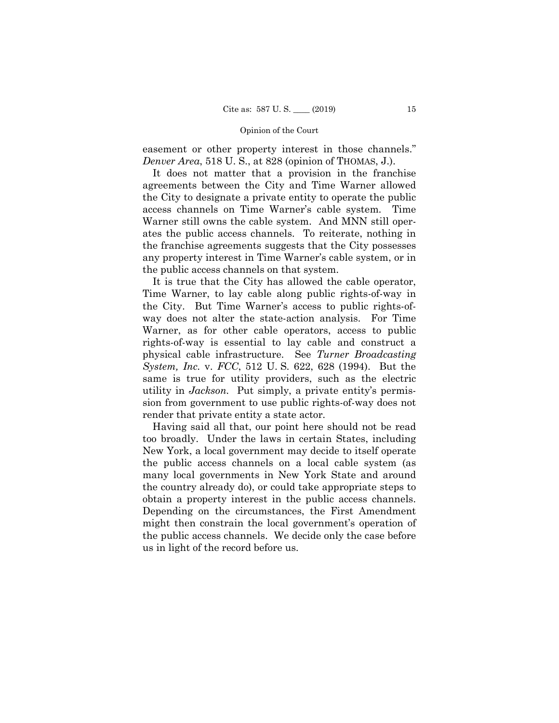easement or other property interest in those channels." *Denver Area*, 518 U. S., at 828 (opinion of THOMAS, J.).

It does not matter that a provision in the franchise agreements between the City and Time Warner allowed the City to designate a private entity to operate the public access channels on Time Warner's cable system. Time Warner still owns the cable system. And MNN still operates the public access channels. To reiterate, nothing in the franchise agreements suggests that the City possesses any property interest in Time Warner's cable system, or in the public access channels on that system.

It is true that the City has allowed the cable operator, Time Warner, to lay cable along public rights-of-way in the City. But Time Warner's access to public rights-ofway does not alter the state-action analysis. For Time Warner, as for other cable operators, access to public rights-of-way is essential to lay cable and construct a physical cable infrastructure. See *Turner Broadcasting System, Inc.* v. *FCC*, 512 U. S. 622, 628 (1994). But the same is true for utility providers, such as the electric utility in *Jackson*. Put simply, a private entity's permission from government to use public rights-of-way does not render that private entity a state actor.

Having said all that, our point here should not be read too broadly. Under the laws in certain States, including New York, a local government may decide to itself operate the public access channels on a local cable system (as many local governments in New York State and around the country already do), or could take appropriate steps to obtain a property interest in the public access channels. Depending on the circumstances, the First Amendment might then constrain the local government's operation of the public access channels. We decide only the case before us in light of the record before us.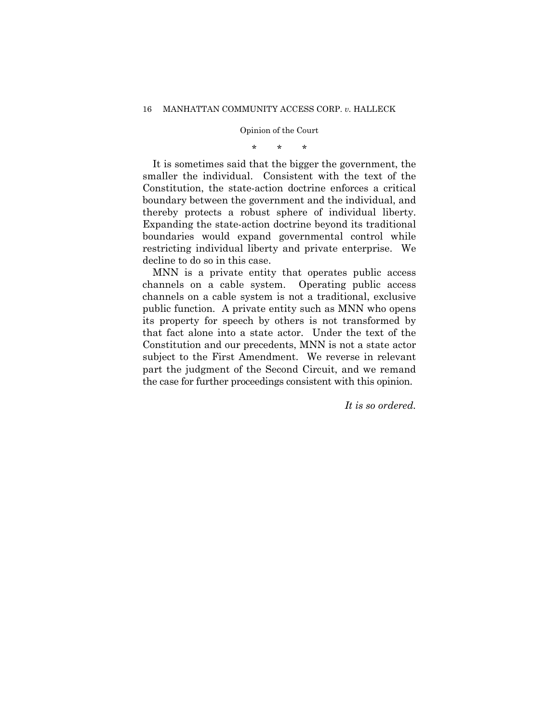\* \* \*

It is sometimes said that the bigger the government, the smaller the individual. Consistent with the text of the Constitution, the state-action doctrine enforces a critical boundary between the government and the individual, and thereby protects a robust sphere of individual liberty. Expanding the state-action doctrine beyond its traditional boundaries would expand governmental control while restricting individual liberty and private enterprise. We decline to do so in this case.

MNN is a private entity that operates public access channels on a cable system. Operating public access channels on a cable system is not a traditional, exclusive public function. A private entity such as MNN who opens its property for speech by others is not transformed by that fact alone into a state actor. Under the text of the Constitution and our precedents, MNN is not a state actor subject to the First Amendment. We reverse in relevant part the judgment of the Second Circuit, and we remand the case for further proceedings consistent with this opinion.

*It is so ordered.*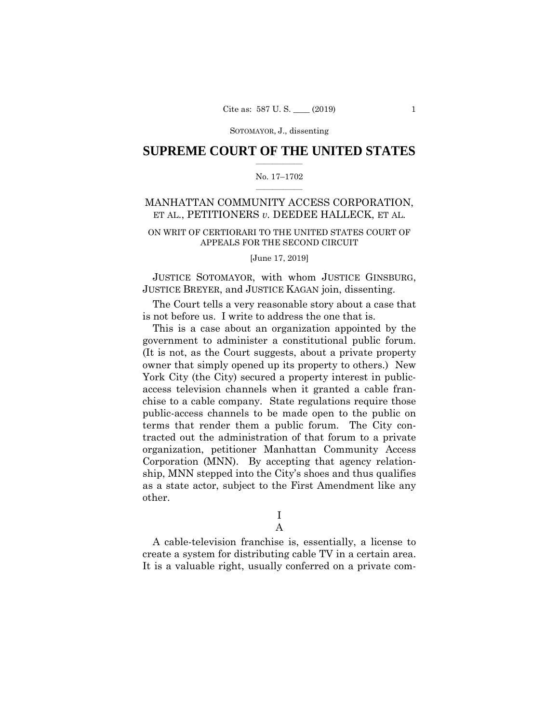## **SUPREME COURT OF THE UNITED STATES**  $\overline{\phantom{a}}$  , where  $\overline{\phantom{a}}$

#### No. 17–1702  $\overline{\phantom{a}}$  , where  $\overline{\phantom{a}}$

## MANHATTAN COMMUNITY ACCESS CORPORATION, ET AL., PETITIONERS *v.* DEEDEE HALLECK, ET AL.

## ON WRIT OF CERTIORARI TO THE UNITED STATES COURT OF APPEALS FOR THE SECOND CIRCUIT

[June 17, 2019]

 JUSTICE SOTOMAYOR, with whom JUSTICE GINSBURG, JUSTICE BREYER, and JUSTICE KAGAN join, dissenting.

The Court tells a very reasonable story about a case that is not before us. I write to address the one that is.

This is a case about an organization appointed by the government to administer a constitutional public forum. (It is not, as the Court suggests, about a private property owner that simply opened up its property to others.) New York City (the City) secured a property interest in publicaccess television channels when it granted a cable franchise to a cable company. State regulations require those public-access channels to be made open to the public on terms that render them a public forum. The City contracted out the administration of that forum to a private organization, petitioner Manhattan Community Access Corporation (MNN). By accepting that agency relationship, MNN stepped into the City's shoes and thus qualifies as a state actor, subject to the First Amendment like any other.

## I A

A cable-television franchise is, essentially, a license to create a system for distributing cable TV in a certain area. It is a valuable right, usually conferred on a private com-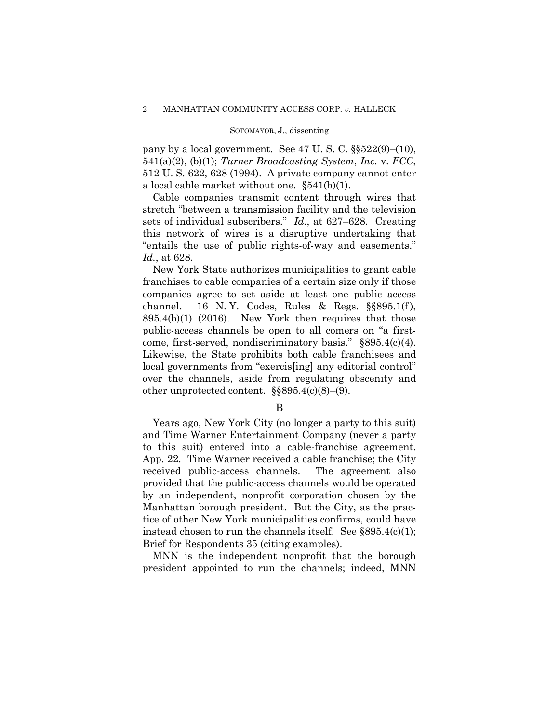pany by a local government. See 47 U. S. C. §§522(9)–(10), 541(a)(2), (b)(1); *Turner Broadcasting System*, *Inc.* v. *FCC*, 512 U. S. 622, 628 (1994). A private company cannot enter a local cable market without one. §541(b)(1).

Cable companies transmit content through wires that stretch "between a transmission facility and the television sets of individual subscribers." *Id.*, at 627–628. Creating this network of wires is a disruptive undertaking that "entails the use of public rights-of-way and easements." *Id.*, at 628.

New York State authorizes municipalities to grant cable franchises to cable companies of a certain size only if those companies agree to set aside at least one public access channel. 16 N.Y. Codes, Rules & Regs.  $\S$ §895.1(f),  $895.4(b)(1)$   $(2016)$ . New York then requires that those public-access channels be open to all comers on "a firstcome, first-served, nondiscriminatory basis." §895.4(c)(4). Likewise, the State prohibits both cable franchisees and local governments from "exercis[ing] any editorial control" over the channels, aside from regulating obscenity and other unprotected content. §§895.4(c)(8)–(9).

## B

Years ago, New York City (no longer a party to this suit) and Time Warner Entertainment Company (never a party to this suit) entered into a cable-franchise agreement. App. 22. Time Warner received a cable franchise; the City received public-access channels. The agreement also provided that the public-access channels would be operated by an independent, nonprofit corporation chosen by the Manhattan borough president. But the City, as the practice of other New York municipalities confirms, could have instead chosen to run the channels itself. See §895.4(c)(1); Brief for Respondents 35 (citing examples).

MNN is the independent nonprofit that the borough president appointed to run the channels; indeed, MNN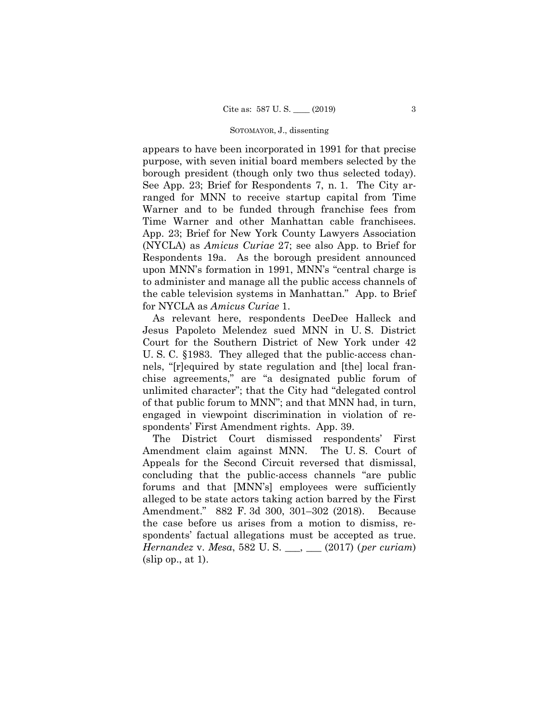appears to have been incorporated in 1991 for that precise purpose, with seven initial board members selected by the borough president (though only two thus selected today). See App. 23; Brief for Respondents 7, n. 1. The City arranged for MNN to receive startup capital from Time Warner and to be funded through franchise fees from Time Warner and other Manhattan cable franchisees. App. 23; Brief for New York County Lawyers Association (NYCLA) as *Amicus Curiae* 27; see also App. to Brief for Respondents 19a. As the borough president announced upon MNN's formation in 1991, MNN's "central charge is to administer and manage all the public access channels of the cable television systems in Manhattan." App. to Brief for NYCLA as *Amicus Curiae* 1.

As relevant here, respondents DeeDee Halleck and Jesus Papoleto Melendez sued MNN in U. S. District Court for the Southern District of New York under 42 U. S. C. §1983. They alleged that the public-access channels, "[r]equired by state regulation and [the] local franchise agreements," are "a designated public forum of unlimited character"; that the City had "delegated control of that public forum to MNN"; and that MNN had, in turn, engaged in viewpoint discrimination in violation of respondents' First Amendment rights. App. 39.

The District Court dismissed respondents' First Amendment claim against MNN. The U. S. Court of Appeals for the Second Circuit reversed that dismissal, concluding that the public-access channels "are public forums and that [MNN's] employees were sufficiently alleged to be state actors taking action barred by the First Amendment." 882 F. 3d 300, 301–302 (2018). Because the case before us arises from a motion to dismiss, respondents' factual allegations must be accepted as true. *Hernandez* v. *Mesa*, 582 U. S. \_\_\_, \_\_\_ (2017) (*per curiam*)  $(slip$  op., at 1).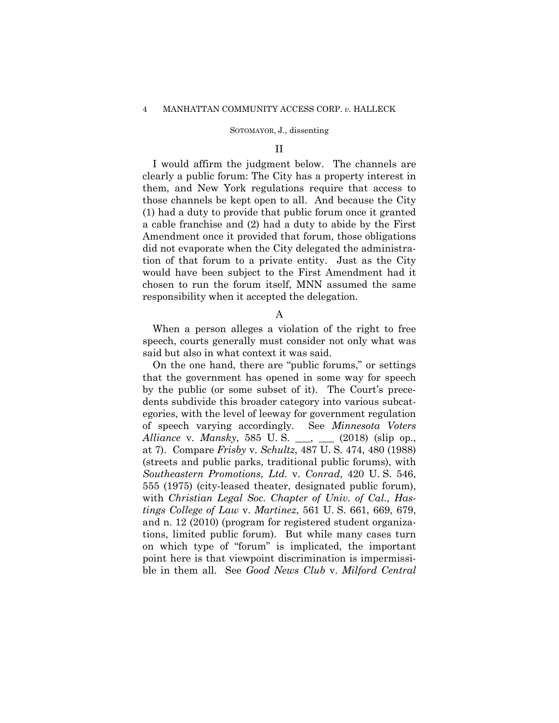### II

I would affirm the judgment below. The channels are clearly a public forum: The City has a property interest in them, and New York regulations require that access to those channels be kept open to all. And because the City (1) had a duty to provide that public forum once it granted a cable franchise and (2) had a duty to abide by the First Amendment once it provided that forum, those obligations did not evaporate when the City delegated the administration of that forum to a private entity. Just as the City would have been subject to the First Amendment had it chosen to run the forum itself, MNN assumed the same responsibility when it accepted the delegation.

A

When a person alleges a violation of the right to free speech, courts generally must consider not only what was said but also in what context it was said.

On the one hand, there are "public forums," or settings that the government has opened in some way for speech by the public (or some subset of it). The Court's precedents subdivide this broader category into various subcategories, with the level of leeway for government regulation of speech varying accordingly. See *Minnesota Voters Alliance* v. *Mansky*, 585 U. S. \_\_\_, \_\_\_ (2018) (slip op., at 7). Compare *Frisby* v. *Schultz*, 487 U. S. 474, 480 (1988) (streets and public parks, traditional public forums), with *Southeastern Promotions, Ltd.* v. *Conrad*, 420 U. S. 546, 555 (1975) (city-leased theater, designated public forum), with *Christian Legal Soc. Chapter of Univ. of Cal., Hastings College of Law* v. *Martinez*, 561 U. S. 661, 669, 679, and n. 12 (2010) (program for registered student organizations, limited public forum). But while many cases turn on which type of "forum" is implicated, the important point here is that viewpoint discrimination is impermissible in them all. See *Good News Club* v. *Milford Central*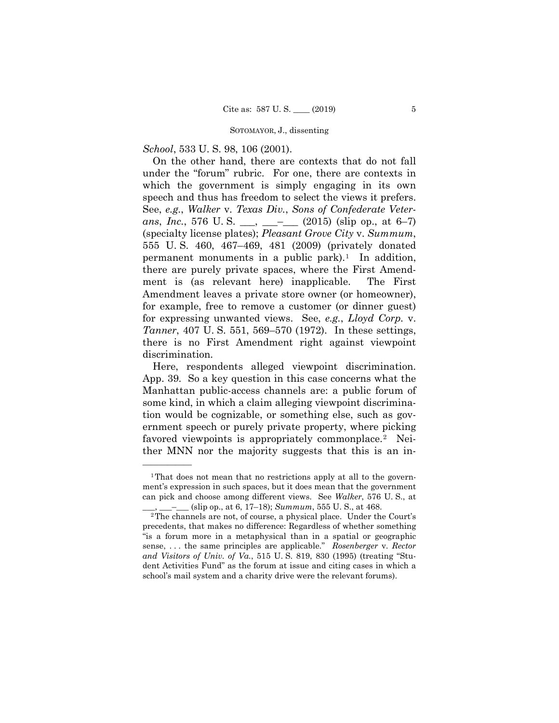*School*, 533 U. S. 98, 106 (2001).

——————

On the other hand, there are contexts that do not fall under the "forum" rubric. For one, there are contexts in which the government is simply engaging in its own speech and thus has freedom to select the views it prefers. See, *e.g.*, *Walker* v. *Texas Div.*, *Sons of Confederate Veterans*, *Inc.*, 576 U. S. \_\_\_, \_\_\_–\_\_\_ (2015) (slip op., at 6–7) (specialty license plates); *Pleasant Grove City* v. *Summum*, 555 U. S. 460, 467–469, 481 (2009) (privately donated permanent monuments in a public park).<sup>[1](#page-23-0)</sup> In addition, there are purely private spaces, where the First Amendment is (as relevant here) inapplicable. The First Amendment leaves a private store owner (or homeowner), for example, free to remove a customer (or dinner guest) for expressing unwanted views. See, *e.g.*, *Lloyd Corp.* v. *Tanner*, 407 U. S. 551, 569–570 (1972). In these settings, there is no First Amendment right against viewpoint discrimination.

Here, respondents alleged viewpoint discrimination. App. 39. So a key question in this case concerns what the Manhattan public-access channels are: a public forum of some kind, in which a claim alleging viewpoint discrimination would be cognizable, or something else, such as government speech or purely private property, where picking favored viewpoints is appropriately commonplace.[2](#page-23-1) Neither MNN nor the majority suggests that this is an in-

<span id="page-23-0"></span><sup>1</sup>That does not mean that no restrictions apply at all to the government's expression in such spaces, but it does mean that the government can pick and choose among different views. See *Walker*, 576 U. S., at \_\_\_, \_\_\_–\_\_\_ (slip op., at 6, 17–18); *Summum*, 555 U. S., at 468.

<span id="page-23-1"></span><sup>2</sup>The channels are not, of course, a physical place. Under the Court's precedents, that makes no difference: Regardless of whether something "is a forum more in a metaphysical than in a spatial or geographic sense, . . . the same principles are applicable." *Rosenberger* v. *Rector and Visitors of Univ. of Va.*, 515 U. S. 819, 830 (1995) (treating "Student Activities Fund" as the forum at issue and citing cases in which a school's mail system and a charity drive were the relevant forums).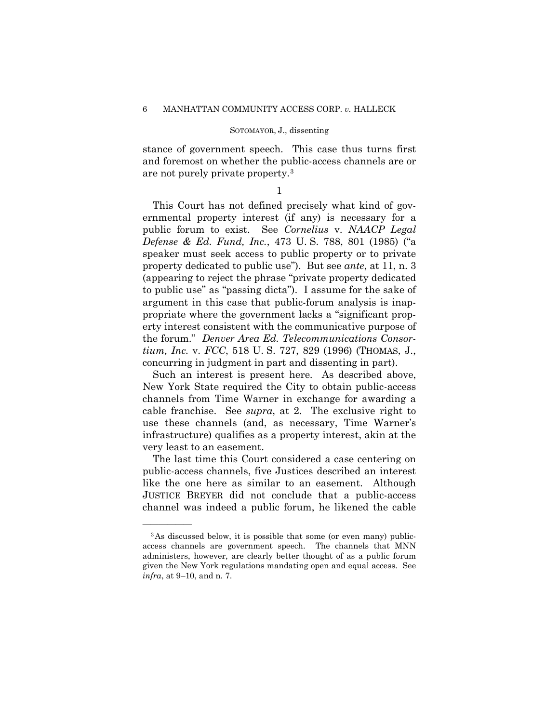stance of government speech. This case thus turns first and foremost on whether the public-access channels are or are not purely private property.[3](#page-24-0)

1

This Court has not defined precisely what kind of governmental property interest (if any) is necessary for a public forum to exist. See *Cornelius* v. *NAACP Legal Defense & Ed. Fund, Inc.*, 473 U. S. 788, 801 (1985) ("a speaker must seek access to public property or to private property dedicated to public use"). But see *ante*, at 11, n. 3 (appearing to reject the phrase "private property dedicated to public use" as "passing dicta"). I assume for the sake of argument in this case that public-forum analysis is inappropriate where the government lacks a "significant property interest consistent with the communicative purpose of the forum." *Denver Area Ed. Telecommunications Consortium, Inc.* v. *FCC*, 518 U. S. 727, 829 (1996) (THOMAS, J., concurring in judgment in part and dissenting in part).

Such an interest is present here. As described above, New York State required the City to obtain public-access channels from Time Warner in exchange for awarding a cable franchise. See *supra*, at 2. The exclusive right to use these channels (and, as necessary, Time Warner's infrastructure) qualifies as a property interest, akin at the very least to an easement.

The last time this Court considered a case centering on public-access channels, five Justices described an interest like the one here as similar to an easement. Although JUSTICE BREYER did not conclude that a public-access channel was indeed a public forum, he likened the cable

<span id="page-24-0"></span><sup>3</sup>As discussed below, it is possible that some (or even many) publicaccess channels are government speech. The channels that MNN administers, however, are clearly better thought of as a public forum given the New York regulations mandating open and equal access. See *infra*, at 9–10, and n. 7.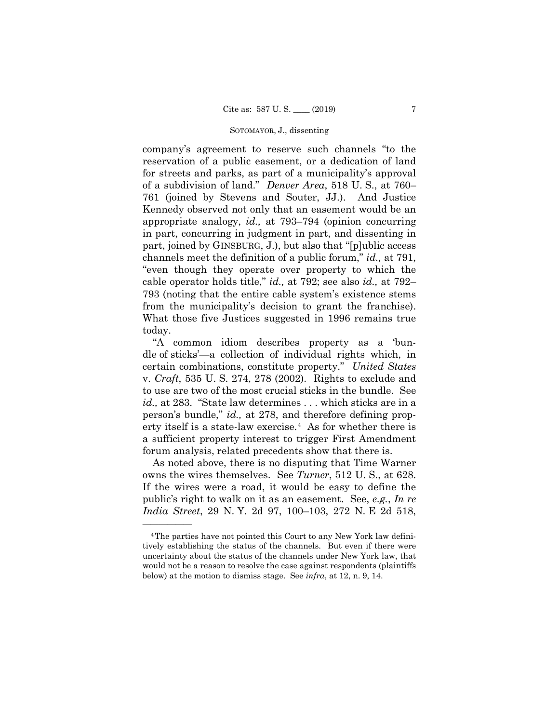company's agreement to reserve such channels "to the reservation of a public easement, or a dedication of land for streets and parks, as part of a municipality's approval of a subdivision of land." *Denver Area*, 518 U. S., at 760– 761 (joined by Stevens and Souter, JJ.). And Justice Kennedy observed not only that an easement would be an appropriate analogy, *id.,* at 793–794 (opinion concurring in part, concurring in judgment in part, and dissenting in part, joined by GINSBURG, J.), but also that "[p]ublic access channels meet the definition of a public forum," *id.,* at 791, "even though they operate over property to which the cable operator holds title," *id.,* at 792; see also *id.,* at 792– 793 (noting that the entire cable system's existence stems from the municipality's decision to grant the franchise). What those five Justices suggested in 1996 remains true today.

"A common idiom describes property as a 'bundle of sticks'—a collection of individual rights which, in certain combinations, constitute property." *United States* v. *Craft*, 535 U. S. 274, 278 (2002). Rights to exclude and to use are two of the most crucial sticks in the bundle. See *id.,* at 283. "State law determines . . . which sticks are in a person's bundle," *id.,* at 278, and therefore defining property itself is a state-law exercise.[4](#page-25-0) As for whether there is a sufficient property interest to trigger First Amendment forum analysis, related precedents show that there is.

As noted above, there is no disputing that Time Warner owns the wires themselves. See *Turner*, 512 U. S., at 628. If the wires were a road, it would be easy to define the public's right to walk on it as an easement. See, *e.g.*, *In re India Street*, 29 N. Y. 2d 97, 100–103, 272 N. E 2d 518,

<span id="page-25-0"></span><sup>4</sup>The parties have not pointed this Court to any New York law definitively establishing the status of the channels. But even if there were uncertainty about the status of the channels under New York law, that would not be a reason to resolve the case against respondents (plaintiffs below) at the motion to dismiss stage. See *infra*, at 12, n. 9, 14.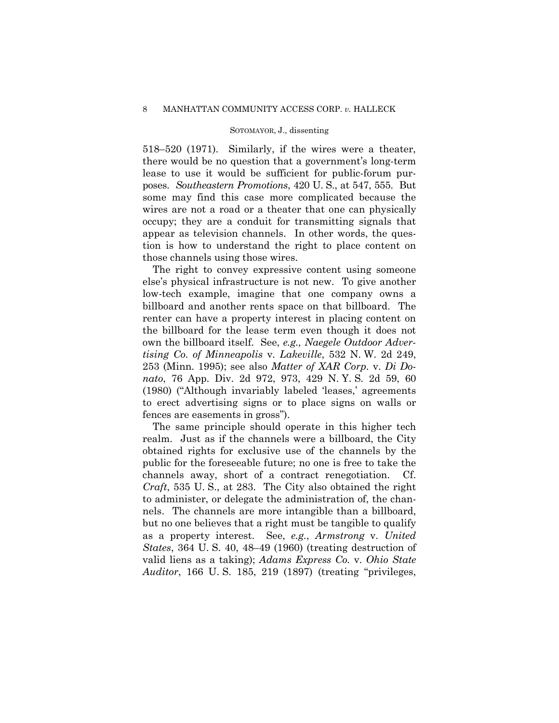518–520 (1971). Similarly, if the wires were a theater, there would be no question that a government's long-term lease to use it would be sufficient for public-forum purposes. *Southeastern Promotions*, 420 U. S., at 547, 555. But some may find this case more complicated because the wires are not a road or a theater that one can physically occupy; they are a conduit for transmitting signals that appear as television channels. In other words, the question is how to understand the right to place content on those channels using those wires.

The right to convey expressive content using someone else's physical infrastructure is not new. To give another low-tech example, imagine that one company owns a billboard and another rents space on that billboard. The renter can have a property interest in placing content on the billboard for the lease term even though it does not own the billboard itself. See, *e.g., Naegele Outdoor Advertising Co. of Minneapolis* v. *Lakeville*, 532 N. W. 2d 249, 253 (Minn. 1995); see also *Matter of XAR Corp.* v. *Di Donato*, 76 App. Div. 2d 972, 973, 429 N. Y. S. 2d 59, 60 (1980) ("Although invariably labeled 'leases,' agreements to erect advertising signs or to place signs on walls or fences are easements in gross").

The same principle should operate in this higher tech realm. Just as if the channels were a billboard, the City obtained rights for exclusive use of the channels by the public for the foreseeable future; no one is free to take the channels away, short of a contract renegotiation. Cf. *Craft*, 535 U. S., at 283. The City also obtained the right to administer, or delegate the administration of, the channels. The channels are more intangible than a billboard, but no one believes that a right must be tangible to qualify as a property interest. See, *e.g.*, *Armstrong* v. *United States*, 364 U. S. 40, 48–49 (1960) (treating destruction of valid liens as a taking); *Adams Express Co.* v. *Ohio State Auditor*, 166 U. S. 185, 219 (1897) (treating "privileges,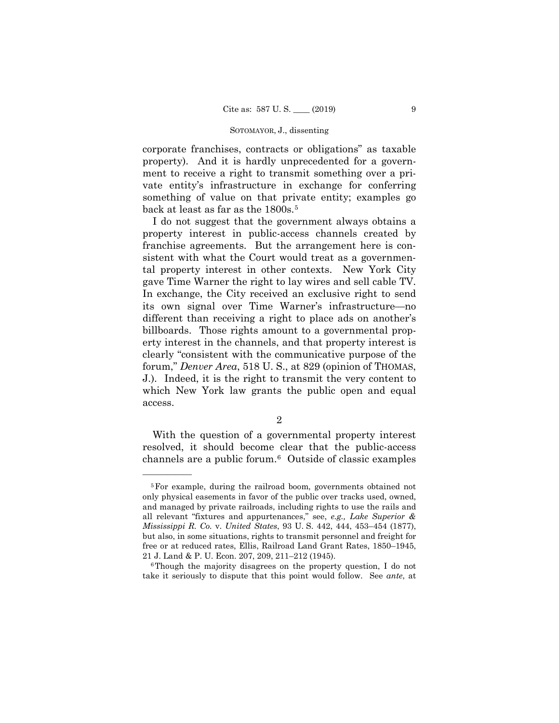corporate franchises, contracts or obligations" as taxable property). And it is hardly unprecedented for a government to receive a right to transmit something over a private entity's infrastructure in exchange for conferring something of value on that private entity; examples go back at least as far as the 1800s.<sup>[5](#page-27-0)</sup>

I do not suggest that the government always obtains a property interest in public-access channels created by franchise agreements. But the arrangement here is consistent with what the Court would treat as a governmental property interest in other contexts. New York City gave Time Warner the right to lay wires and sell cable TV. In exchange, the City received an exclusive right to send its own signal over Time Warner's infrastructure—no different than receiving a right to place ads on another's billboards. Those rights amount to a governmental property interest in the channels, and that property interest is clearly "consistent with the communicative purpose of the forum," *Denver Area*, 518 U. S., at 829 (opinion of THOMAS, J.). Indeed, it is the right to transmit the very content to which New York law grants the public open and equal access.

2

With the question of a governmental property interest resolved, it should become clear that the public-access channels are a public forum.[6](#page-27-1) Outside of classic examples

<span id="page-27-0"></span><sup>5</sup>For example, during the railroad boom, governments obtained not only physical easements in favor of the public over tracks used, owned, and managed by private railroads, including rights to use the rails and all relevant "fixtures and appurtenances," see, *e.g., Lake Superior & Mississippi R. Co.* v. *United States*, 93 U. S. 442, 444, 453–454 (1877), but also, in some situations, rights to transmit personnel and freight for free or at reduced rates, Ellis, Railroad Land Grant Rates, 1850–1945,

<span id="page-27-1"></span><sup>21</sup> J. Land & P. U. Econ. 207, 209, 211–212 (1945). 6Though the majority disagrees on the property question, I do not take it seriously to dispute that this point would follow. See *ante*, at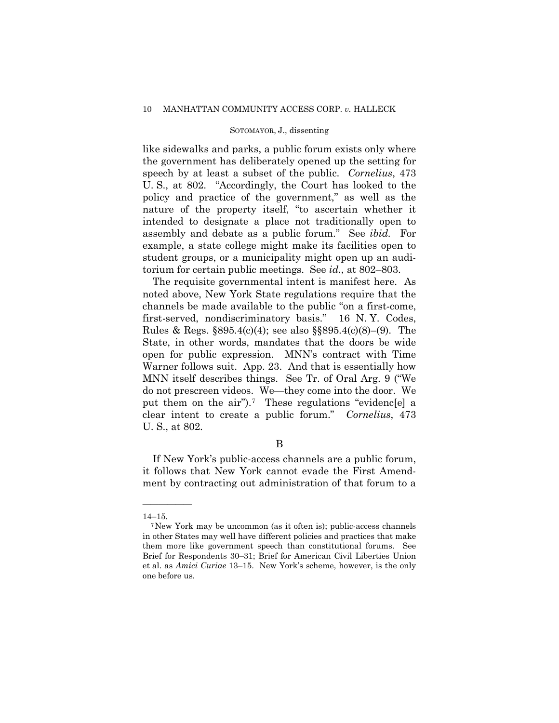like sidewalks and parks, a public forum exists only where the government has deliberately opened up the setting for speech by at least a subset of the public. *Cornelius*, 473 U. S., at 802. "Accordingly, the Court has looked to the policy and practice of the government," as well as the nature of the property itself, "to ascertain whether it intended to designate a place not traditionally open to assembly and debate as a public forum." See *ibid.* For example, a state college might make its facilities open to student groups, or a municipality might open up an auditorium for certain public meetings. See *id.*, at 802–803.

The requisite governmental intent is manifest here. As noted above, New York State regulations require that the channels be made available to the public "on a first-come, first-served, nondiscriminatory basis." 16 N. Y. Codes, Rules & Regs. §895.4(c)(4); see also §§895.4(c)(8)–(9). The State, in other words, mandates that the doors be wide open for public expression. MNN's contract with Time Warner follows suit. App. 23. And that is essentially how MNN itself describes things. See Tr. of Oral Arg. 9 ("We do not prescreen videos. We—they come into the door. We put them on the air").<sup>7</sup> These regulations "evidenc[e] a clear intent to create a public forum." *Cornelius*, 473 U. S., at 802.

## B

If New York's public-access channels are a public forum, it follows that New York cannot evade the First Amendment by contracting out administration of that forum to a

<span id="page-28-0"></span><sup>14–15. 7</sup>New York may be uncommon (as it often is); public-access channels in other States may well have different policies and practices that make them more like government speech than constitutional forums. See Brief for Respondents 30–31; Brief for American Civil Liberties Union et al. as *Amici Curiae* 13–15. New York's scheme, however, is the only one before us.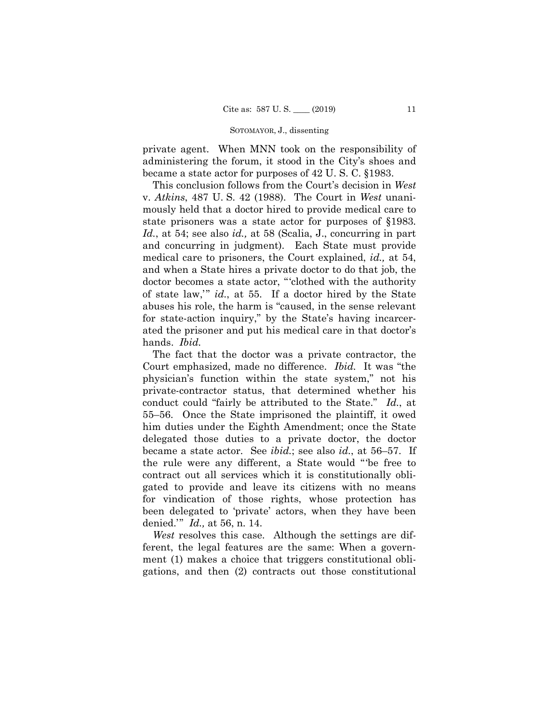private agent. When MNN took on the responsibility of administering the forum, it stood in the City's shoes and became a state actor for purposes of 42 U. S. C. §1983.

This conclusion follows from the Court's decision in *West* v. *Atkins*, 487 U. S. 42 (1988). The Court in *West* unanimously held that a doctor hired to provide medical care to state prisoners was a state actor for purposes of §1983. *Id.*, at 54; see also *id.,* at 58 (Scalia, J., concurring in part and concurring in judgment). Each State must provide medical care to prisoners, the Court explained, *id.,* at 54, and when a State hires a private doctor to do that job, the doctor becomes a state actor, "'clothed with the authority of state law,'" *id.*, at 55. If a doctor hired by the State abuses his role, the harm is "caused, in the sense relevant for state-action inquiry," by the State's having incarcerated the prisoner and put his medical care in that doctor's hands. *Ibid.*

The fact that the doctor was a private contractor, the Court emphasized, made no difference. *Ibid.* It was "the physician's function within the state system," not his private-contractor status, that determined whether his conduct could "fairly be attributed to the State." *Id.*, at 55–56. Once the State imprisoned the plaintiff, it owed him duties under the Eighth Amendment; once the State delegated those duties to a private doctor, the doctor became a state actor. See *ibid.*; see also *id.*, at 56–57. If the rule were any different, a State would "'be free to contract out all services which it is constitutionally obligated to provide and leave its citizens with no means for vindication of those rights, whose protection has been delegated to 'private' actors, when they have been denied.'" *Id.,* at 56, n. 14.

*West* resolves this case. Although the settings are different, the legal features are the same: When a government (1) makes a choice that triggers constitutional obligations, and then (2) contracts out those constitutional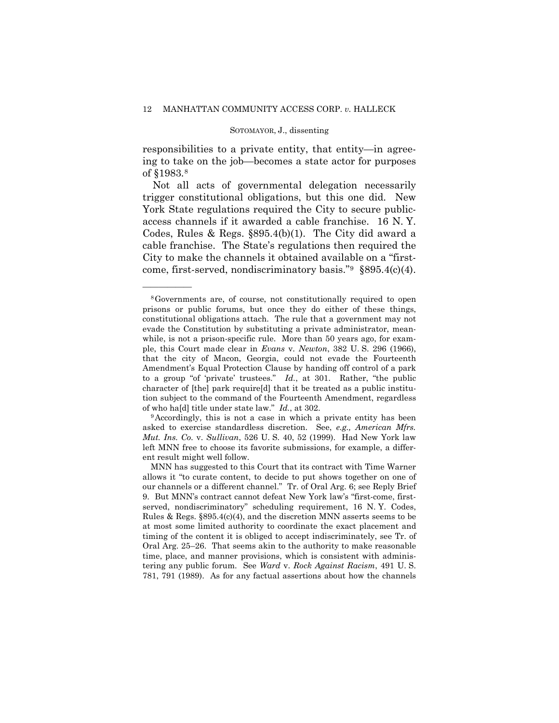responsibilities to a private entity, that entity—in agreeing to take on the job—becomes a state actor for purposes of §1983.[8](#page-30-0) 

Not all acts of governmental delegation necessarily trigger constitutional obligations, but this one did. New York State regulations required the City to secure publicaccess channels if it awarded a cable franchise. 16 N. Y. Codes, Rules & Regs. §895.4(b)(1). The City did award a cable franchise. The State's regulations then required the City to make the channels it obtained available on a "firstcome, first-served, nondiscriminatory basis."[9](#page-30-1) §895.4(c)(4).

——————

<span id="page-30-1"></span>9Accordingly, this is not a case in which a private entity has been asked to exercise standardless discretion. See, *e.g., American Mfrs. Mut. Ins. Co.* v. *Sullivan*, 526 U. S. 40, 52 (1999). Had New York law left MNN free to choose its favorite submissions, for example, a different result might well follow.

<span id="page-30-0"></span><sup>8</sup>Governments are, of course, not constitutionally required to open prisons or public forums, but once they do either of these things, constitutional obligations attach. The rule that a government may not evade the Constitution by substituting a private administrator, meanwhile, is not a prison-specific rule. More than 50 years ago, for example, this Court made clear in *Evans* v. *Newton*, 382 U. S. 296 (1966), that the city of Macon, Georgia, could not evade the Fourteenth Amendment's Equal Protection Clause by handing off control of a park to a group "of 'private' trustees." *Id.*, at 301. Rather, "the public character of [the] park require[d] that it be treated as a public institution subject to the command of the Fourteenth Amendment, regardless of who ha[d] title under state law." *Id.*, at 302.

MNN has suggested to this Court that its contract with Time Warner allows it "to curate content, to decide to put shows together on one of our channels or a different channel." Tr. of Oral Arg. 6; see Reply Brief 9. But MNN's contract cannot defeat New York law's "first-come, firstserved, nondiscriminatory" scheduling requirement, 16 N. Y. Codes, Rules & Regs. §895.4(c)(4), and the discretion MNN asserts seems to be at most some limited authority to coordinate the exact placement and timing of the content it is obliged to accept indiscriminately, see Tr. of Oral Arg. 25–26. That seems akin to the authority to make reasonable time, place, and manner provisions, which is consistent with administering any public forum. See *Ward* v. *Rock Against Racism*, 491 U. S. 781, 791 (1989). As for any factual assertions about how the channels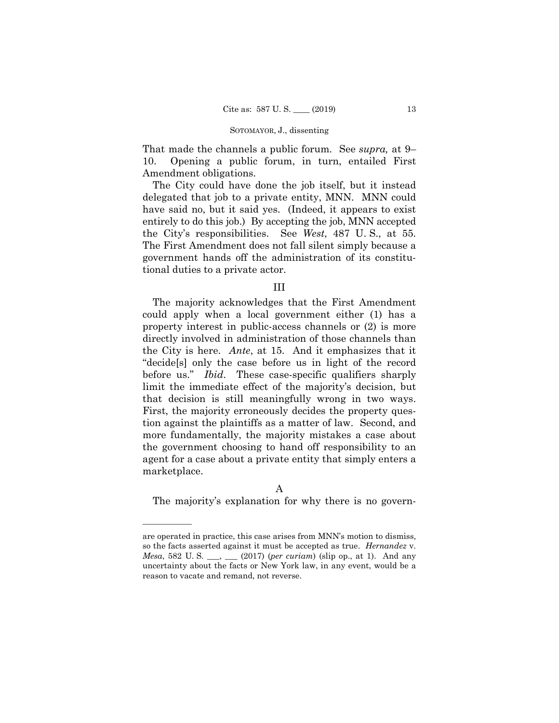That made the channels a public forum. See *supra,* at 9– 10. Opening a public forum, in turn, entailed First Amendment obligations.

The City could have done the job itself, but it instead delegated that job to a private entity, MNN. MNN could have said no, but it said yes. (Indeed, it appears to exist entirely to do this job.) By accepting the job, MNN accepted the City's responsibilities. See *West*, 487 U. S., at 55. The First Amendment does not fall silent simply because a government hands off the administration of its constitutional duties to a private actor.

### III

The majority acknowledges that the First Amendment could apply when a local government either (1) has a property interest in public-access channels or (2) is more directly involved in administration of those channels than the City is here. *Ante*, at 15. And it emphasizes that it "decide[s] only the case before us in light of the record before us." *Ibid*. These case-specific qualifiers sharply limit the immediate effect of the majority's decision, but that decision is still meaningfully wrong in two ways. First, the majority erroneously decides the property question against the plaintiffs as a matter of law. Second, and more fundamentally, the majority mistakes a case about the government choosing to hand off responsibility to an agent for a case about a private entity that simply enters a marketplace.

## A

The majority's explanation for why there is no govern-

are operated in practice, this case arises from MNN's motion to dismiss, so the facts asserted against it must be accepted as true. *Hernandez* v. *Mesa*, 582 U.S. \_\_\_, \_\_\_ (2017) (*per curiam*) (slip op., at 1). And any uncertainty about the facts or New York law, in any event, would be a reason to vacate and remand, not reverse.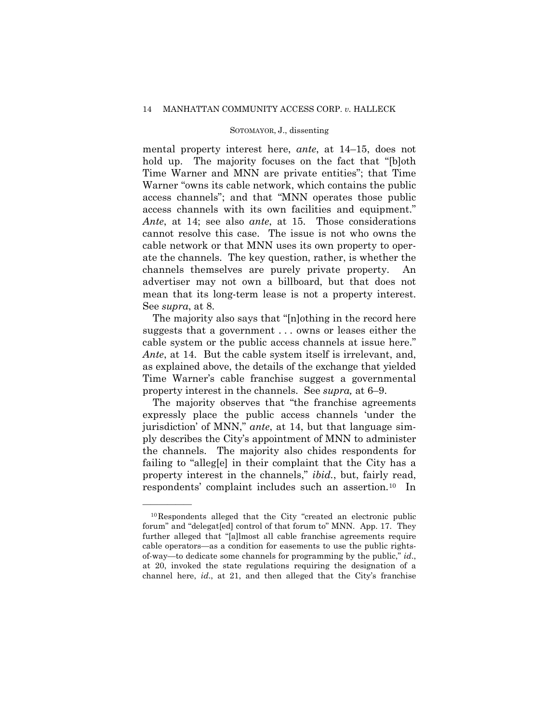## 14 MANHATTAN COMMUNITY ACCESS CORP. *v.* HALLECK

#### SOTOMAYOR, J., dissenting

mental property interest here, *ante*, at 14–15, does not hold up. The majority focuses on the fact that "[b]oth Time Warner and MNN are private entities"; that Time Warner "owns its cable network, which contains the public access channels"; and that "MNN operates those public access channels with its own facilities and equipment." *Ante*, at 14; see also *ante*, at 15. Those considerations cannot resolve this case. The issue is not who owns the cable network or that MNN uses its own property to operate the channels. The key question, rather, is whether the channels themselves are purely private property. An advertiser may not own a billboard, but that does not mean that its long-term lease is not a property interest. See *supra*, at 8.

The majority also says that "[n]othing in the record here suggests that a government . . . owns or leases either the cable system or the public access channels at issue here." *Ante*, at 14. But the cable system itself is irrelevant, and, as explained above, the details of the exchange that yielded Time Warner's cable franchise suggest a governmental property interest in the channels. See *supra,* at 6–9.

The majority observes that "the franchise agreements expressly place the public access channels 'under the jurisdiction' of MNN," *ante*, at 14, but that language simply describes the City's appointment of MNN to administer the channels. The majority also chides respondents for failing to "alleg[e] in their complaint that the City has a property interest in the channels," *ibid.*, but, fairly read, respondents' complaint includes such an assertion.[10](#page-32-0) In

<span id="page-32-0"></span><sup>10</sup>Respondents alleged that the City "created an electronic public forum" and "delegat[ed] control of that forum to" MNN. App. 17. They further alleged that "[a]lmost all cable franchise agreements require cable operators—as a condition for easements to use the public rightsof-way—to dedicate some channels for programming by the public," *id*., at 20, invoked the state regulations requiring the designation of a channel here, *id*., at 21, and then alleged that the City's franchise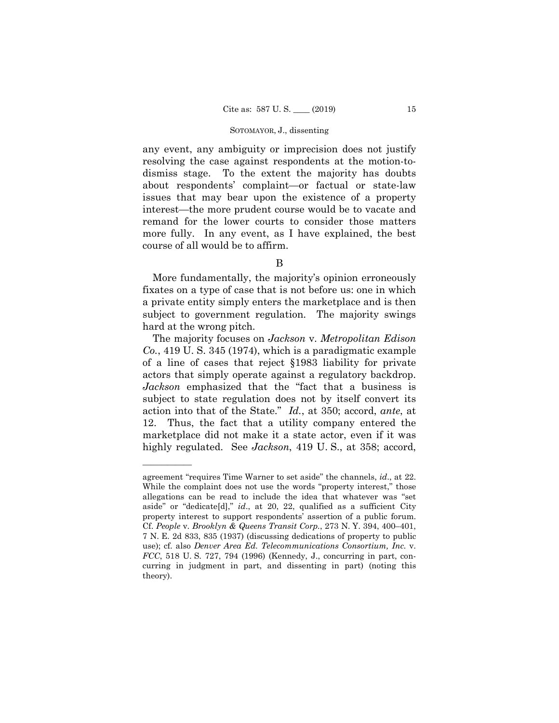any event, any ambiguity or imprecision does not justify resolving the case against respondents at the motion-todismiss stage. To the extent the majority has doubts about respondents' complaint—or factual or state-law issues that may bear upon the existence of a property interest—the more prudent course would be to vacate and remand for the lower courts to consider those matters more fully. In any event, as I have explained, the best course of all would be to affirm.

## B

More fundamentally, the majority's opinion erroneously fixates on a type of case that is not before us: one in which a private entity simply enters the marketplace and is then subject to government regulation. The majority swings hard at the wrong pitch.

The majority focuses on *Jackson* v. *Metropolitan Edison Co.*, 419 U. S. 345 (1974), which is a paradigmatic example of a line of cases that reject §1983 liability for private actors that simply operate against a regulatory backdrop. *Jackson* emphasized that the "fact that a business is subject to state regulation does not by itself convert its action into that of the State." *Id.*, at 350; accord, *ante*, at 12. Thus, the fact that a utility company entered the marketplace did not make it a state actor, even if it was highly regulated. See *Jackson*, 419 U.S., at 358; accord,

agreement "requires Time Warner to set aside" the channels, *id*., at 22. While the complaint does not use the words "property interest," those allegations can be read to include the idea that whatever was "set aside" or "dedicate[d]," *id*., at 20, 22, qualified as a sufficient City property interest to support respondents' assertion of a public forum. Cf. *People* v. *Brooklyn & Queens Transit Corp.*, 273 N. Y. 394, 400–401, 7 N. E. 2d 833, 835 (1937) (discussing dedications of property to public use); cf. also *Denver Area Ed. Telecommunications Consortium, Inc.* v. *FCC*, 518 U. S. 727, 794 (1996) (Kennedy, J., concurring in part, concurring in judgment in part, and dissenting in part) (noting this theory).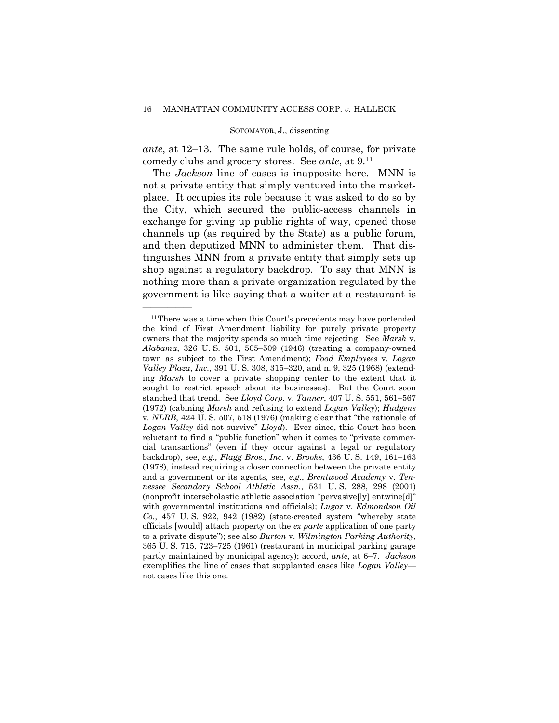*ante*, at 12–13. The same rule holds, of course, for private comedy clubs and grocery stores. See *ante*, at 9.[11](#page-34-0)

The *Jackson* line of cases is inapposite here. MNN is not a private entity that simply ventured into the marketplace. It occupies its role because it was asked to do so by the City, which secured the public-access channels in exchange for giving up public rights of way, opened those channels up (as required by the State) as a public forum, and then deputized MNN to administer them. That distinguishes MNN from a private entity that simply sets up shop against a regulatory backdrop. To say that MNN is nothing more than a private organization regulated by the government is like saying that a waiter at a restaurant is

<span id="page-34-0"></span><sup>&</sup>lt;sup>11</sup>There was a time when this Court's precedents may have portended the kind of First Amendment liability for purely private property owners that the majority spends so much time rejecting. See *Marsh* v. *Alabama*, 326 U. S. 501, 505–509 (1946) (treating a company-owned town as subject to the First Amendment); *Food Employees* v. *Logan Valley Plaza*, *Inc.*, 391 U. S. 308, 315–320, and n. 9, 325 (1968) (extending *Marsh* to cover a private shopping center to the extent that it sought to restrict speech about its businesses). But the Court soon stanched that trend. See *Lloyd Corp.* v. *Tanner*, 407 U. S. 551, 561–567 (1972) (cabining *Marsh* and refusing to extend *Logan Valley*); *Hudgens* v. *NLRB*, 424 U. S. 507, 518 (1976) (making clear that "the rationale of *Logan Valley* did not survive" *Lloyd*). Ever since, this Court has been reluctant to find a "public function" when it comes to "private commercial transactions" (even if they occur against a legal or regulatory backdrop), see, *e.g., Flagg Bros.*, *Inc.* v. *Brooks*, 436 U. S. 149, 161–163 (1978), instead requiring a closer connection between the private entity and a government or its agents, see, *e.g.*, *Brentwood Academy* v. *Tennessee Secondary School Athletic Assn.*, 531 U. S. 288, 298 (2001) (nonprofit interscholastic athletic association "pervasive[ly] entwine[d]" with governmental institutions and officials); *Lugar* v. *Edmondson Oil Co.*, 457 U. S. 922, 942 (1982) (state-created system "whereby state officials [would] attach property on the *ex parte* application of one party to a private dispute"); see also *Burton* v. *Wilmington Parking Authority*, 365 U. S. 715, 723–725 (1961) (restaurant in municipal parking garage partly maintained by municipal agency); accord, *ante*, at 6–7. *Jackson* exemplifies the line of cases that supplanted cases like *Logan Valley* not cases like this one.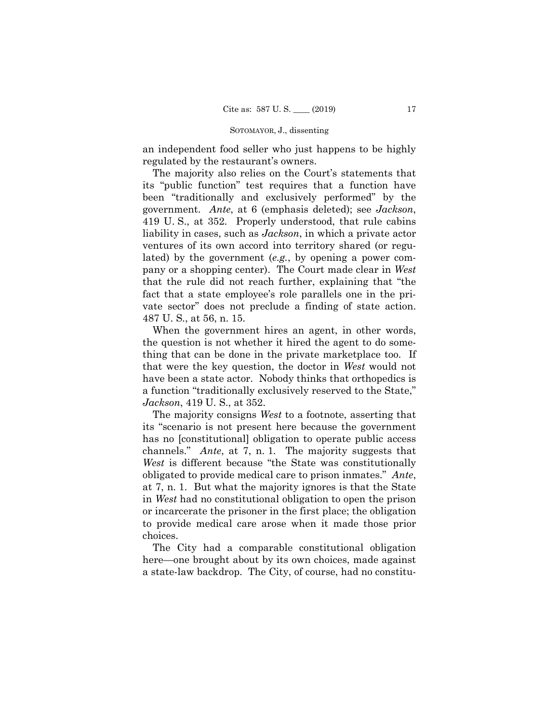an independent food seller who just happens to be highly regulated by the restaurant's owners.

The majority also relies on the Court's statements that its "public function" test requires that a function have been "traditionally and exclusively performed" by the government. *Ante*, at 6 (emphasis deleted); see *Jackson*, 419 U. S., at 352. Properly understood, that rule cabins liability in cases, such as *Jackson*, in which a private actor ventures of its own accord into territory shared (or regulated) by the government (*e.g.*, by opening a power company or a shopping center). The Court made clear in *West*  that the rule did not reach further, explaining that "the fact that a state employee's role parallels one in the private sector" does not preclude a finding of state action. 487 U. S., at 56, n. 15.

When the government hires an agent, in other words, the question is not whether it hired the agent to do something that can be done in the private marketplace too. If that were the key question, the doctor in *West* would not have been a state actor. Nobody thinks that orthopedics is a function "traditionally exclusively reserved to the State," *Jackson*, 419 U. S., at 352.

The majority consigns *West* to a footnote, asserting that its "scenario is not present here because the government has no [constitutional] obligation to operate public access channels." *Ante*, at 7, n. 1. The majority suggests that *West* is different because "the State was constitutionally obligated to provide medical care to prison inmates." *Ante*, at 7, n. 1. But what the majority ignores is that the State in *West* had no constitutional obligation to open the prison or incarcerate the prisoner in the first place; the obligation to provide medical care arose when it made those prior choices.

The City had a comparable constitutional obligation here—one brought about by its own choices, made against a state-law backdrop. The City, of course, had no constitu-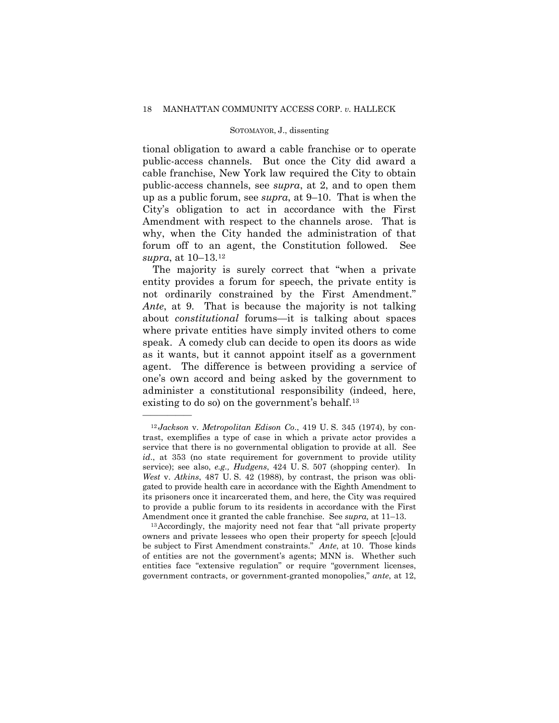tional obligation to award a cable franchise or to operate public-access channels. But once the City did award a cable franchise, New York law required the City to obtain public-access channels, see *supra*, at 2, and to open them up as a public forum, see *supra*, at 9–10. That is when the City's obligation to act in accordance with the First Amendment with respect to the channels arose. That is why, when the City handed the administration of that forum off to an agent, the Constitution followed. See *supra*, at 10–13.[12](#page-36-0)

The majority is surely correct that "when a private entity provides a forum for speech, the private entity is not ordinarily constrained by the First Amendment." *Ante*, at 9. That is because the majority is not talking about *constitutional* forums—it is talking about spaces where private entities have simply invited others to come speak. A comedy club can decide to open its doors as wide as it wants, but it cannot appoint itself as a government agent. The difference is between providing a service of one's own accord and being asked by the government to administer a constitutional responsibility (indeed, here, existing to do so) on the government's behalf.<sup>[13](#page-36-1)</sup>

<span id="page-36-0"></span><sup>12</sup>*Jackson* v. *Metropolitan Edison Co*., 419 U. S. 345 (1974), by contrast, exemplifies a type of case in which a private actor provides a service that there is no governmental obligation to provide at all. See *id*., at 353 (no state requirement for government to provide utility service); see also, *e.g., Hudgens*, 424 U. S. 507 (shopping center). In *West* v. *Atkins*, 487 U. S. 42 (1988), by contrast, the prison was obligated to provide health care in accordance with the Eighth Amendment to its prisoners once it incarcerated them, and here, the City was required to provide a public forum to its residents in accordance with the First Amendment once it granted the cable franchise. See *supra,* at 11–13.

<span id="page-36-1"></span><sup>&</sup>lt;sup>13</sup> Accordingly, the majority need not fear that "all private property owners and private lessees who open their property for speech [c]ould be subject to First Amendment constraints." *Ante*, at 10. Those kinds of entities are not the government's agents; MNN is. Whether such entities face "extensive regulation" or require "government licenses, government contracts, or government-granted monopolies," *ante*, at 12,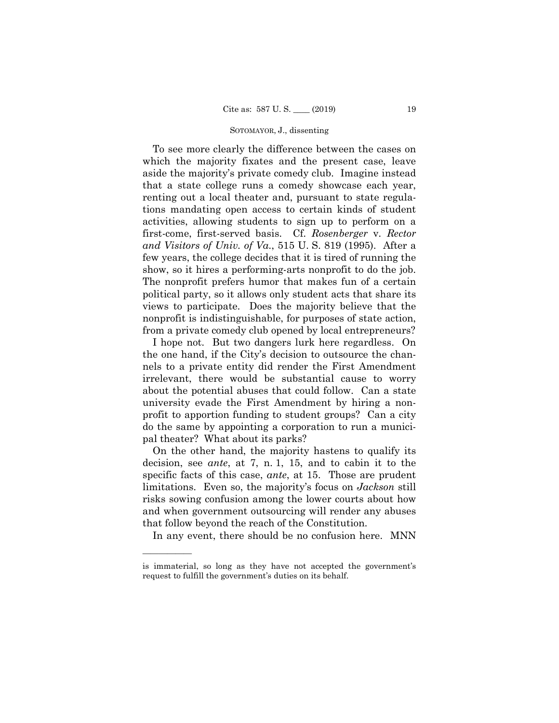To see more clearly the difference between the cases on which the majority fixates and the present case, leave aside the majority's private comedy club. Imagine instead that a state college runs a comedy showcase each year, renting out a local theater and, pursuant to state regulations mandating open access to certain kinds of student activities, allowing students to sign up to perform on a first-come, first-served basis. Cf. *Rosenberger* v. *Rector and Visitors of Univ. of Va.*, 515 U. S. 819 (1995). After a few years, the college decides that it is tired of running the show, so it hires a performing-arts nonprofit to do the job. The nonprofit prefers humor that makes fun of a certain political party, so it allows only student acts that share its views to participate. Does the majority believe that the nonprofit is indistinguishable, for purposes of state action, from a private comedy club opened by local entrepreneurs?

I hope not. But two dangers lurk here regardless. On the one hand, if the City's decision to outsource the channels to a private entity did render the First Amendment irrelevant, there would be substantial cause to worry about the potential abuses that could follow. Can a state university evade the First Amendment by hiring a nonprofit to apportion funding to student groups? Can a city do the same by appointing a corporation to run a municipal theater? What about its parks?

On the other hand, the majority hastens to qualify its decision, see *ante*, at 7, n. 1, 15, and to cabin it to the specific facts of this case, *ante*, at 15. Those are prudent limitations. Even so, the majority's focus on *Jackson* still risks sowing confusion among the lower courts about how and when government outsourcing will render any abuses that follow beyond the reach of the Constitution.

In any event, there should be no confusion here. MNN

is immaterial, so long as they have not accepted the government's request to fulfill the government's duties on its behalf.